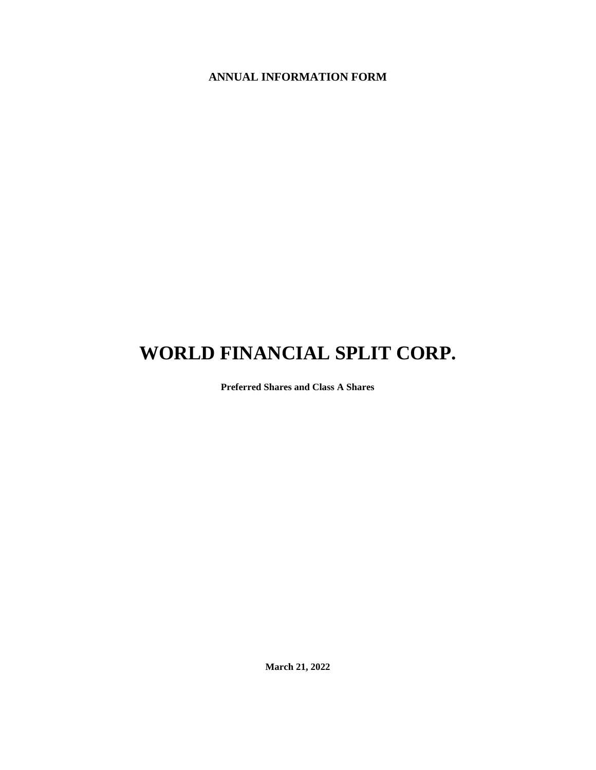## **ANNUAL INFORMATION FORM**

# **WORLD FINANCIAL SPLIT CORP.**

**Preferred Shares and Class A Shares**

**March 21, 2022**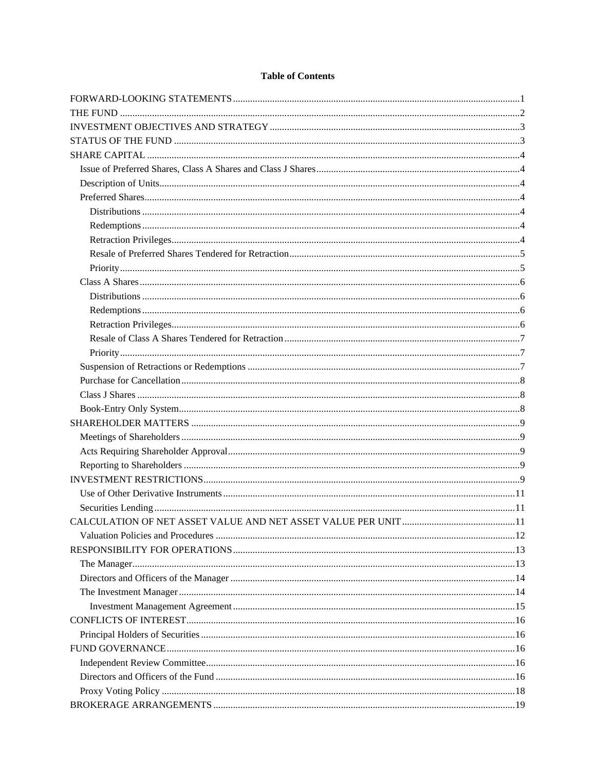## **Table of Contents**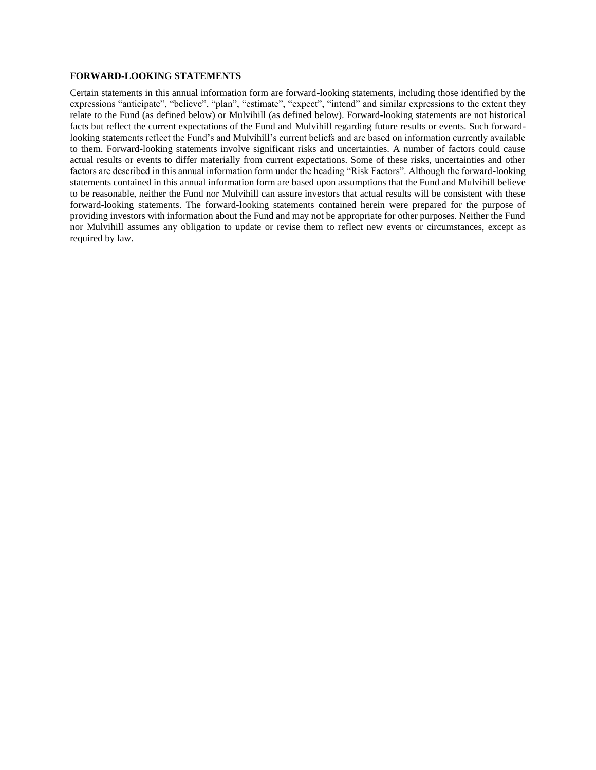#### <span id="page-3-0"></span>**FORWARD-LOOKING STATEMENTS**

Certain statements in this annual information form are forward-looking statements, including those identified by the expressions "anticipate", "believe", "plan", "estimate", "expect", "intend" and similar expressions to the extent they relate to the Fund (as defined below) or Mulvihill (as defined below). Forward-looking statements are not historical facts but reflect the current expectations of the Fund and Mulvihill regarding future results or events. Such forwardlooking statements reflect the Fund's and Mulvihill's current beliefs and are based on information currently available to them. Forward-looking statements involve significant risks and uncertainties. A number of factors could cause actual results or events to differ materially from current expectations. Some of these risks, uncertainties and other factors are described in this annual information form under the heading "Risk Factors". Although the forward-looking statements contained in this annual information form are based upon assumptions that the Fund and Mulvihill believe to be reasonable, neither the Fund nor Mulvihill can assure investors that actual results will be consistent with these forward-looking statements. The forward-looking statements contained herein were prepared for the purpose of providing investors with information about the Fund and may not be appropriate for other purposes. Neither the Fund nor Mulvihill assumes any obligation to update or revise them to reflect new events or circumstances, except as required by law.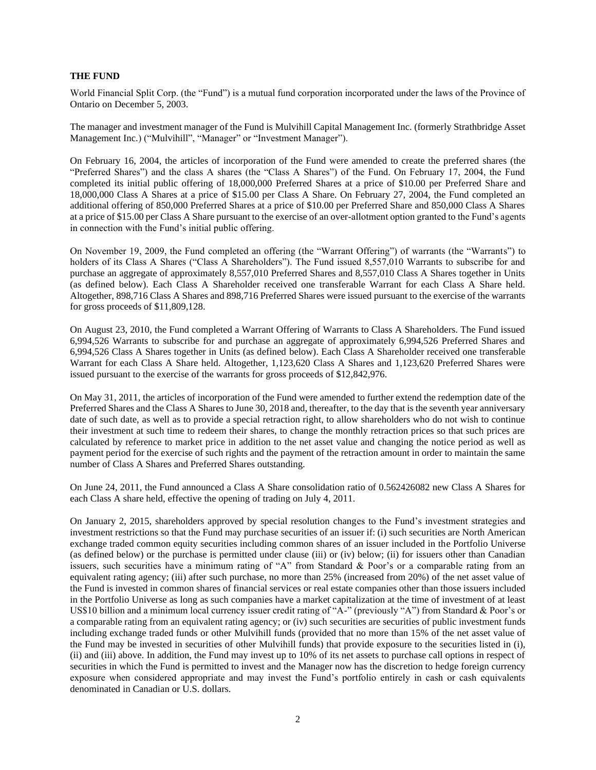#### <span id="page-4-0"></span>**THE FUND**

World Financial Split Corp. (the "Fund") is a mutual fund corporation incorporated under the laws of the Province of Ontario on December 5, 2003.

The manager and investment manager of the Fund is Mulvihill Capital Management Inc. (formerly Strathbridge Asset Management Inc.) ("Mulvihill", "Manager" or "Investment Manager").

On February 16, 2004, the articles of incorporation of the Fund were amended to create the preferred shares (the "Preferred Shares") and the class A shares (the "Class A Shares") of the Fund. On February 17, 2004, the Fund completed its initial public offering of 18,000,000 Preferred Shares at a price of \$10.00 per Preferred Share and 18,000,000 Class A Shares at a price of \$15.00 per Class A Share. On February 27, 2004, the Fund completed an additional offering of 850,000 Preferred Shares at a price of \$10.00 per Preferred Share and 850,000 Class A Shares at a price of \$15.00 per Class A Share pursuant to the exercise of an over-allotment option granted to the Fund's agents in connection with the Fund's initial public offering.

On November 19, 2009, the Fund completed an offering (the "Warrant Offering") of warrants (the "Warrants") to holders of its Class A Shares ("Class A Shareholders"). The Fund issued 8,557,010 Warrants to subscribe for and purchase an aggregate of approximately 8,557,010 Preferred Shares and 8,557,010 Class A Shares together in Units (as defined below). Each Class A Shareholder received one transferable Warrant for each Class A Share held. Altogether, 898,716 Class A Shares and 898,716 Preferred Shares were issued pursuant to the exercise of the warrants for gross proceeds of \$11,809,128.

On August 23, 2010, the Fund completed a Warrant Offering of Warrants to Class A Shareholders. The Fund issued 6,994,526 Warrants to subscribe for and purchase an aggregate of approximately 6,994,526 Preferred Shares and 6,994,526 Class A Shares together in Units (as defined below). Each Class A Shareholder received one transferable Warrant for each Class A Share held. Altogether, 1,123,620 Class A Shares and 1,123,620 Preferred Shares were issued pursuant to the exercise of the warrants for gross proceeds of \$12,842,976.

On May 31, 2011, the articles of incorporation of the Fund were amended to further extend the redemption date of the Preferred Shares and the Class A Shares to June 30, 2018 and, thereafter, to the day that is the seventh year anniversary date of such date, as well as to provide a special retraction right, to allow shareholders who do not wish to continue their investment at such time to redeem their shares, to change the monthly retraction prices so that such prices are calculated by reference to market price in addition to the net asset value and changing the notice period as well as payment period for the exercise of such rights and the payment of the retraction amount in order to maintain the same number of Class A Shares and Preferred Shares outstanding.

On June 24, 2011, the Fund announced a Class A Share consolidation ratio of 0.562426082 new Class A Shares for each Class A share held, effective the opening of trading on July 4, 2011.

On January 2, 2015, shareholders approved by special resolution changes to the Fund's investment strategies and investment restrictions so that the Fund may purchase securities of an issuer if: (i) such securities are North American exchange traded common equity securities including common shares of an issuer included in the Portfolio Universe (as defined below) or the purchase is permitted under clause (iii) or (iv) below; (ii) for issuers other than Canadian issuers, such securities have a minimum rating of "A" from Standard & Poor's or a comparable rating from an equivalent rating agency; (iii) after such purchase, no more than 25% (increased from 20%) of the net asset value of the Fund is invested in common shares of financial services or real estate companies other than those issuers included in the Portfolio Universe as long as such companies have a market capitalization at the time of investment of at least US\$10 billion and a minimum local currency issuer credit rating of "A-" (previously "A") from Standard & Poor's or a comparable rating from an equivalent rating agency; or (iv) such securities are securities of public investment funds including exchange traded funds or other Mulvihill funds (provided that no more than 15% of the net asset value of the Fund may be invested in securities of other Mulvihill funds) that provide exposure to the securities listed in (i), (ii) and (iii) above. In addition, the Fund may invest up to 10% of its net assets to purchase call options in respect of securities in which the Fund is permitted to invest and the Manager now has the discretion to hedge foreign currency exposure when considered appropriate and may invest the Fund's portfolio entirely in cash or cash equivalents denominated in Canadian or U.S. dollars.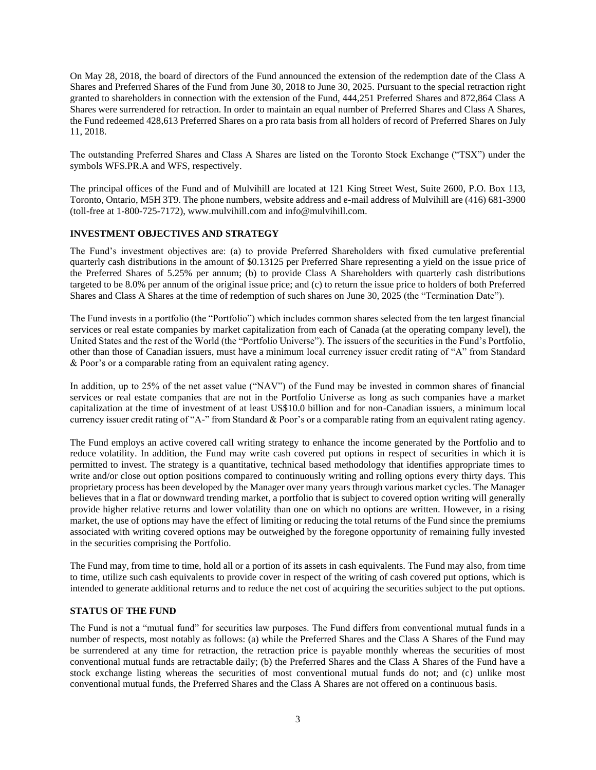On May 28, 2018, the board of directors of the Fund announced the extension of the redemption date of the Class A Shares and Preferred Shares of the Fund from June 30, 2018 to June 30, 2025. Pursuant to the special retraction right granted to shareholders in connection with the extension of the Fund, 444,251 Preferred Shares and 872,864 Class A Shares were surrendered for retraction. In order to maintain an equal number of Preferred Shares and Class A Shares, the Fund redeemed 428,613 Preferred Shares on a pro rata basis from all holders of record of Preferred Shares on July 11, 2018.

The outstanding Preferred Shares and Class A Shares are listed on the Toronto Stock Exchange ("TSX") under the symbols WFS.PR.A and WFS, respectively.

The principal offices of the Fund and of Mulvihill are located at 121 King Street West, Suite 2600, P.O. Box 113, Toronto, Ontario, M5H 3T9. The phone numbers, website address and e-mail address of Mulvihill are (416) 681-3900 (toll-free at 1-800-725-7172), www.mulvihill.com and info@mulvihill.com.

### <span id="page-5-0"></span>**INVESTMENT OBJECTIVES AND STRATEGY**

The Fund's investment objectives are: (a) to provide Preferred Shareholders with fixed cumulative preferential quarterly cash distributions in the amount of \$0.13125 per Preferred Share representing a yield on the issue price of the Preferred Shares of 5.25% per annum; (b) to provide Class A Shareholders with quarterly cash distributions targeted to be 8.0% per annum of the original issue price; and (c) to return the issue price to holders of both Preferred Shares and Class A Shares at the time of redemption of such shares on June 30, 2025 (the "Termination Date").

The Fund invests in a portfolio (the "Portfolio") which includes common shares selected from the ten largest financial services or real estate companies by market capitalization from each of Canada (at the operating company level), the United States and the rest of the World (the "Portfolio Universe"). The issuers of the securities in the Fund's Portfolio, other than those of Canadian issuers, must have a minimum local currency issuer credit rating of "A" from Standard & Poor's or a comparable rating from an equivalent rating agency.

In addition, up to 25% of the net asset value ("NAV") of the Fund may be invested in common shares of financial services or real estate companies that are not in the Portfolio Universe as long as such companies have a market capitalization at the time of investment of at least US\$10.0 billion and for non-Canadian issuers, a minimum local currency issuer credit rating of "A-" from Standard & Poor's or a comparable rating from an equivalent rating agency.

The Fund employs an active covered call writing strategy to enhance the income generated by the Portfolio and to reduce volatility. In addition, the Fund may write cash covered put options in respect of securities in which it is permitted to invest. The strategy is a quantitative, technical based methodology that identifies appropriate times to write and/or close out option positions compared to continuously writing and rolling options every thirty days. This proprietary process has been developed by the Manager over many years through various market cycles. The Manager believes that in a flat or downward trending market, a portfolio that is subject to covered option writing will generally provide higher relative returns and lower volatility than one on which no options are written. However, in a rising market, the use of options may have the effect of limiting or reducing the total returns of the Fund since the premiums associated with writing covered options may be outweighed by the foregone opportunity of remaining fully invested in the securities comprising the Portfolio.

The Fund may, from time to time, hold all or a portion of its assets in cash equivalents. The Fund may also, from time to time, utilize such cash equivalents to provide cover in respect of the writing of cash covered put options, which is intended to generate additional returns and to reduce the net cost of acquiring the securities subject to the put options.

#### <span id="page-5-1"></span>**STATUS OF THE FUND**

The Fund is not a "mutual fund" for securities law purposes. The Fund differs from conventional mutual funds in a number of respects, most notably as follows: (a) while the Preferred Shares and the Class A Shares of the Fund may be surrendered at any time for retraction, the retraction price is payable monthly whereas the securities of most conventional mutual funds are retractable daily; (b) the Preferred Shares and the Class A Shares of the Fund have a stock exchange listing whereas the securities of most conventional mutual funds do not; and (c) unlike most conventional mutual funds, the Preferred Shares and the Class A Shares are not offered on a continuous basis.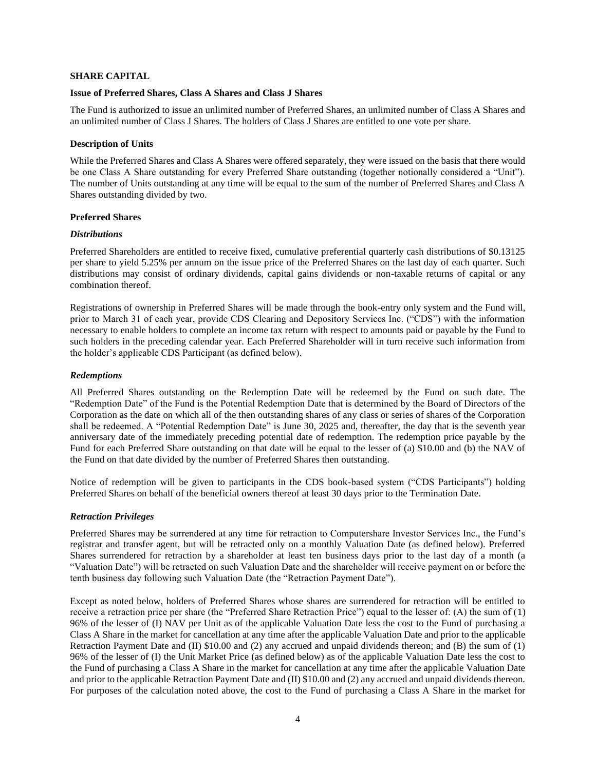#### <span id="page-6-0"></span>**SHARE CAPITAL**

#### <span id="page-6-1"></span>**Issue of Preferred Shares, Class A Shares and Class J Shares**

The Fund is authorized to issue an unlimited number of Preferred Shares, an unlimited number of Class A Shares and an unlimited number of Class J Shares. The holders of Class J Shares are entitled to one vote per share.

#### <span id="page-6-2"></span>**Description of Units**

While the Preferred Shares and Class A Shares were offered separately, they were issued on the basis that there would be one Class A Share outstanding for every Preferred Share outstanding (together notionally considered a "Unit"). The number of Units outstanding at any time will be equal to the sum of the number of Preferred Shares and Class A Shares outstanding divided by two.

#### <span id="page-6-3"></span>**Preferred Shares**

#### <span id="page-6-4"></span>*Distributions*

Preferred Shareholders are entitled to receive fixed, cumulative preferential quarterly cash distributions of \$0.13125 per share to yield 5.25% per annum on the issue price of the Preferred Shares on the last day of each quarter. Such distributions may consist of ordinary dividends, capital gains dividends or non-taxable returns of capital or any combination thereof.

Registrations of ownership in Preferred Shares will be made through the book-entry only system and the Fund will, prior to March 31 of each year, provide CDS Clearing and Depository Services Inc. ("CDS") with the information necessary to enable holders to complete an income tax return with respect to amounts paid or payable by the Fund to such holders in the preceding calendar year. Each Preferred Shareholder will in turn receive such information from the holder's applicable CDS Participant (as defined below).

#### <span id="page-6-5"></span>*Redemptions*

All Preferred Shares outstanding on the Redemption Date will be redeemed by the Fund on such date. The "Redemption Date" of the Fund is the Potential Redemption Date that is determined by the Board of Directors of the Corporation as the date on which all of the then outstanding shares of any class or series of shares of the Corporation shall be redeemed. A "Potential Redemption Date" is June 30, 2025 and, thereafter, the day that is the seventh year anniversary date of the immediately preceding potential date of redemption. The redemption price payable by the Fund for each Preferred Share outstanding on that date will be equal to the lesser of (a) \$10.00 and (b) the NAV of the Fund on that date divided by the number of Preferred Shares then outstanding.

Notice of redemption will be given to participants in the CDS book-based system ("CDS Participants") holding Preferred Shares on behalf of the beneficial owners thereof at least 30 days prior to the Termination Date.

#### <span id="page-6-6"></span>*Retraction Privileges*

Preferred Shares may be surrendered at any time for retraction to Computershare Investor Services Inc., the Fund's registrar and transfer agent, but will be retracted only on a monthly Valuation Date (as defined below). Preferred Shares surrendered for retraction by a shareholder at least ten business days prior to the last day of a month (a "Valuation Date") will be retracted on such Valuation Date and the shareholder will receive payment on or before the tenth business day following such Valuation Date (the "Retraction Payment Date").

Except as noted below, holders of Preferred Shares whose shares are surrendered for retraction will be entitled to receive a retraction price per share (the "Preferred Share Retraction Price") equal to the lesser of: (A) the sum of (1) 96% of the lesser of (I) NAV per Unit as of the applicable Valuation Date less the cost to the Fund of purchasing a Class A Share in the market for cancellation at any time after the applicable Valuation Date and prior to the applicable Retraction Payment Date and (II) \$10.00 and (2) any accrued and unpaid dividends thereon; and (B) the sum of (1) 96% of the lesser of (I) the Unit Market Price (as defined below) as of the applicable Valuation Date less the cost to the Fund of purchasing a Class A Share in the market for cancellation at any time after the applicable Valuation Date and prior to the applicable Retraction Payment Date and (II) \$10.00 and (2) any accrued and unpaid dividends thereon. For purposes of the calculation noted above, the cost to the Fund of purchasing a Class A Share in the market for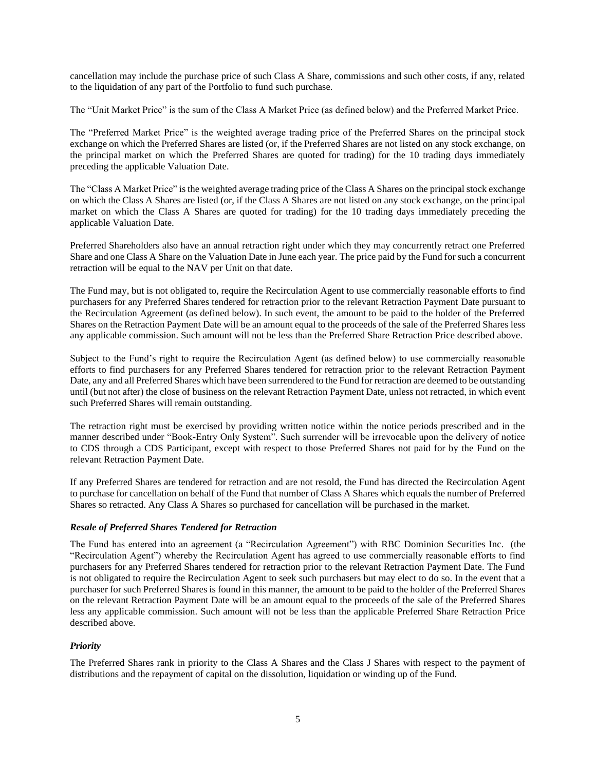cancellation may include the purchase price of such Class A Share, commissions and such other costs, if any, related to the liquidation of any part of the Portfolio to fund such purchase.

The "Unit Market Price" is the sum of the Class A Market Price (as defined below) and the Preferred Market Price.

The "Preferred Market Price" is the weighted average trading price of the Preferred Shares on the principal stock exchange on which the Preferred Shares are listed (or, if the Preferred Shares are not listed on any stock exchange, on the principal market on which the Preferred Shares are quoted for trading) for the 10 trading days immediately preceding the applicable Valuation Date.

The "Class A Market Price" is the weighted average trading price of the Class A Shares on the principal stock exchange on which the Class A Shares are listed (or, if the Class A Shares are not listed on any stock exchange, on the principal market on which the Class A Shares are quoted for trading) for the 10 trading days immediately preceding the applicable Valuation Date.

Preferred Shareholders also have an annual retraction right under which they may concurrently retract one Preferred Share and one Class A Share on the Valuation Date in June each year. The price paid by the Fund for such a concurrent retraction will be equal to the NAV per Unit on that date.

The Fund may, but is not obligated to, require the Recirculation Agent to use commercially reasonable efforts to find purchasers for any Preferred Shares tendered for retraction prior to the relevant Retraction Payment Date pursuant to the Recirculation Agreement (as defined below). In such event, the amount to be paid to the holder of the Preferred Shares on the Retraction Payment Date will be an amount equal to the proceeds of the sale of the Preferred Shares less any applicable commission. Such amount will not be less than the Preferred Share Retraction Price described above.

Subject to the Fund's right to require the Recirculation Agent (as defined below) to use commercially reasonable efforts to find purchasers for any Preferred Shares tendered for retraction prior to the relevant Retraction Payment Date, any and all Preferred Shares which have been surrendered to the Fund for retraction are deemed to be outstanding until (but not after) the close of business on the relevant Retraction Payment Date, unless not retracted, in which event such Preferred Shares will remain outstanding.

The retraction right must be exercised by providing written notice within the notice periods prescribed and in the manner described under "Book-Entry Only System". Such surrender will be irrevocable upon the delivery of notice to CDS through a CDS Participant, except with respect to those Preferred Shares not paid for by the Fund on the relevant Retraction Payment Date.

If any Preferred Shares are tendered for retraction and are not resold, the Fund has directed the Recirculation Agent to purchase for cancellation on behalf of the Fund that number of Class A Shares which equals the number of Preferred Shares so retracted. Any Class A Shares so purchased for cancellation will be purchased in the market.

## <span id="page-7-0"></span>*Resale of Preferred Shares Tendered for Retraction*

The Fund has entered into an agreement (a "Recirculation Agreement") with RBC Dominion Securities Inc. (the "Recirculation Agent") whereby the Recirculation Agent has agreed to use commercially reasonable efforts to find purchasers for any Preferred Shares tendered for retraction prior to the relevant Retraction Payment Date. The Fund is not obligated to require the Recirculation Agent to seek such purchasers but may elect to do so. In the event that a purchaser for such Preferred Shares is found in this manner, the amount to be paid to the holder of the Preferred Shares on the relevant Retraction Payment Date will be an amount equal to the proceeds of the sale of the Preferred Shares less any applicable commission. Such amount will not be less than the applicable Preferred Share Retraction Price described above.

## <span id="page-7-1"></span>*Priority*

The Preferred Shares rank in priority to the Class A Shares and the Class J Shares with respect to the payment of distributions and the repayment of capital on the dissolution, liquidation or winding up of the Fund.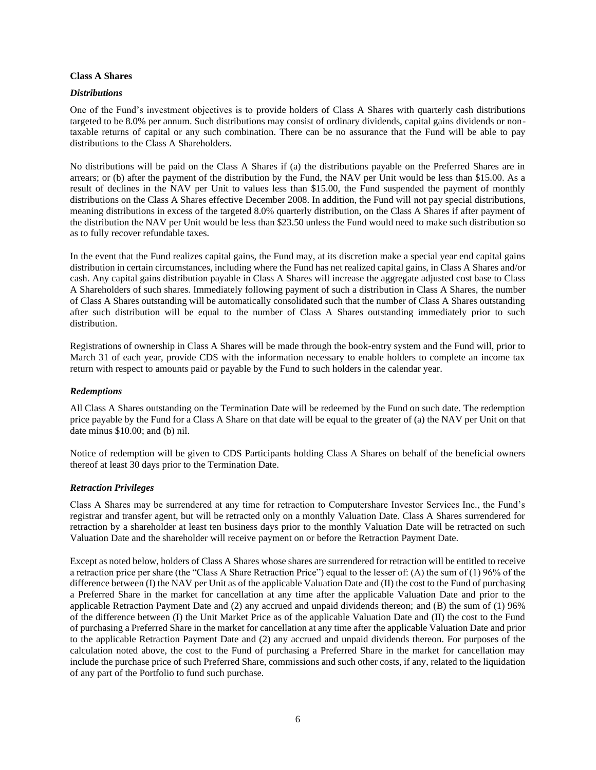#### <span id="page-8-0"></span>**Class A Shares**

## <span id="page-8-1"></span>*Distributions*

One of the Fund's investment objectives is to provide holders of Class A Shares with quarterly cash distributions targeted to be 8.0% per annum. Such distributions may consist of ordinary dividends, capital gains dividends or nontaxable returns of capital or any such combination. There can be no assurance that the Fund will be able to pay distributions to the Class A Shareholders.

No distributions will be paid on the Class A Shares if (a) the distributions payable on the Preferred Shares are in arrears; or (b) after the payment of the distribution by the Fund, the NAV per Unit would be less than \$15.00. As a result of declines in the NAV per Unit to values less than \$15.00, the Fund suspended the payment of monthly distributions on the Class A Shares effective December 2008. In addition, the Fund will not pay special distributions, meaning distributions in excess of the targeted 8.0% quarterly distribution, on the Class A Shares if after payment of the distribution the NAV per Unit would be less than \$23.50 unless the Fund would need to make such distribution so as to fully recover refundable taxes.

In the event that the Fund realizes capital gains, the Fund may, at its discretion make a special year end capital gains distribution in certain circumstances, including where the Fund has net realized capital gains, in Class A Shares and/or cash. Any capital gains distribution payable in Class A Shares will increase the aggregate adjusted cost base to Class A Shareholders of such shares. Immediately following payment of such a distribution in Class A Shares, the number of Class A Shares outstanding will be automatically consolidated such that the number of Class A Shares outstanding after such distribution will be equal to the number of Class A Shares outstanding immediately prior to such distribution.

Registrations of ownership in Class A Shares will be made through the book-entry system and the Fund will, prior to March 31 of each year, provide CDS with the information necessary to enable holders to complete an income tax return with respect to amounts paid or payable by the Fund to such holders in the calendar year.

## <span id="page-8-2"></span>*Redemptions*

All Class A Shares outstanding on the Termination Date will be redeemed by the Fund on such date. The redemption price payable by the Fund for a Class A Share on that date will be equal to the greater of (a) the NAV per Unit on that date minus \$10.00; and (b) nil.

Notice of redemption will be given to CDS Participants holding Class A Shares on behalf of the beneficial owners thereof at least 30 days prior to the Termination Date.

#### <span id="page-8-3"></span>*Retraction Privileges*

Class A Shares may be surrendered at any time for retraction to Computershare Investor Services Inc., the Fund's registrar and transfer agent, but will be retracted only on a monthly Valuation Date. Class A Shares surrendered for retraction by a shareholder at least ten business days prior to the monthly Valuation Date will be retracted on such Valuation Date and the shareholder will receive payment on or before the Retraction Payment Date.

Except as noted below, holders of Class A Shares whose shares are surrendered for retraction will be entitled to receive a retraction price per share (the "Class A Share Retraction Price") equal to the lesser of: (A) the sum of (1) 96% of the difference between (I) the NAV per Unit as of the applicable Valuation Date and (II) the cost to the Fund of purchasing a Preferred Share in the market for cancellation at any time after the applicable Valuation Date and prior to the applicable Retraction Payment Date and (2) any accrued and unpaid dividends thereon; and (B) the sum of (1) 96% of the difference between (I) the Unit Market Price as of the applicable Valuation Date and (II) the cost to the Fund of purchasing a Preferred Share in the market for cancellation at any time after the applicable Valuation Date and prior to the applicable Retraction Payment Date and (2) any accrued and unpaid dividends thereon. For purposes of the calculation noted above, the cost to the Fund of purchasing a Preferred Share in the market for cancellation may include the purchase price of such Preferred Share, commissions and such other costs, if any, related to the liquidation of any part of the Portfolio to fund such purchase.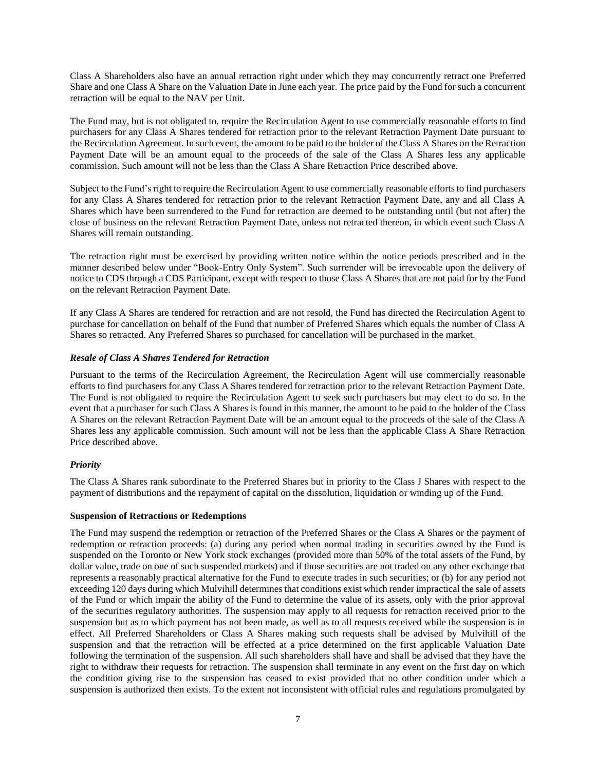Class A Shareholders also have an annual retraction right under which they may concurrently retract one Preferred Share and one Class A Share on the Valuation Date in June each year. The price paid by the Fund for such a concurrent retraction will be equal to the NAV per Unit.

The Fund may, but is not obligated to, require the Recirculation Agent to use commercially reasonable efforts to find purchasers for any Class A Shares tendered for retraction prior to the relevant Retraction Payment Date pursuant to the Recirculation Agreement. In such event, the amount to be paid to the holder of the Class A Shares on the Retraction Payment Date will be an amount equal to the proceeds of the sale of the Class A Shares less any applicable commission. Such amount will not be less than the Class A Share Retraction Price described above.

Subject to the Fund's right to require the Recirculation Agent to use commercially reasonable efforts to find purchasers for any Class A Shares tendered for retraction prior to the relevant Retraction Payment Date, any and all Class A Shares which have been surrendered to the Fund for retraction are deemed to be outstanding until (but not after) the close of business on the relevant Retraction Payment Date, unless not retracted thereon, in which event such Class A Shares will remain outstanding.

The retraction right must be exercised by providing written notice within the notice periods prescribed and in the manner described below under "Book-Entry Only System". Such surrender will be irrevocable upon the delivery of notice to CDS through a CDS Participant, except with respect to those Class A Shares that are not paid for by the Fund on the relevant Retraction Payment Date.

If any Class A Shares are tendered for retraction and are not resold, the Fund has directed the Recirculation Agent to purchase for cancellation on behalf of the Fund that number of Preferred Shares which equals the number of Class A Shares so retracted. Any Preferred Shares so purchased for cancellation will be purchased in the market.

## <span id="page-9-0"></span>*Resale of Class A Shares Tendered for Retraction*

Pursuant to the terms of the Recirculation Agreement, the Recirculation Agent will use commercially reasonable efforts to find purchasers for any Class A Shares tendered for retraction prior to the relevant Retraction Payment Date. The Fund is not obligated to require the Recirculation Agent to seek such purchasers but may elect to do so. In the event that a purchaser for such Class A Shares is found in this manner, the amount to be paid to the holder of the Class A Shares on the relevant Retraction Payment Date will be an amount equal to the proceeds of the sale of the Class A Shares less any applicable commission. Such amount will not be less than the applicable Class A Share Retraction Price described above.

#### <span id="page-9-1"></span>*Priority*

The Class A Shares rank subordinate to the Preferred Shares but in priority to the Class J Shares with respect to the payment of distributions and the repayment of capital on the dissolution, liquidation or winding up of the Fund.

#### <span id="page-9-2"></span>**Suspension of Retractions or Redemptions**

The Fund may suspend the redemption or retraction of the Preferred Shares or the Class A Shares or the payment of redemption or retraction proceeds: (a) during any period when normal trading in securities owned by the Fund is suspended on the Toronto or New York stock exchanges (provided more than 50% of the total assets of the Fund, by dollar value, trade on one of such suspended markets) and if those securities are not traded on any other exchange that represents a reasonably practical alternative for the Fund to execute trades in such securities; or (b) for any period not exceeding 120 days during which Mulvihill determines that conditions exist which render impractical the sale of assets of the Fund or which impair the ability of the Fund to determine the value of its assets, only with the prior approval of the securities regulatory authorities. The suspension may apply to all requests for retraction received prior to the suspension but as to which payment has not been made, as well as to all requests received while the suspension is in effect. All Preferred Shareholders or Class A Shares making such requests shall be advised by Mulvihill of the suspension and that the retraction will be effected at a price determined on the first applicable Valuation Date following the termination of the suspension. All such shareholders shall have and shall be advised that they have the right to withdraw their requests for retraction. The suspension shall terminate in any event on the first day on which the condition giving rise to the suspension has ceased to exist provided that no other condition under which a suspension is authorized then exists. To the extent not inconsistent with official rules and regulations promulgated by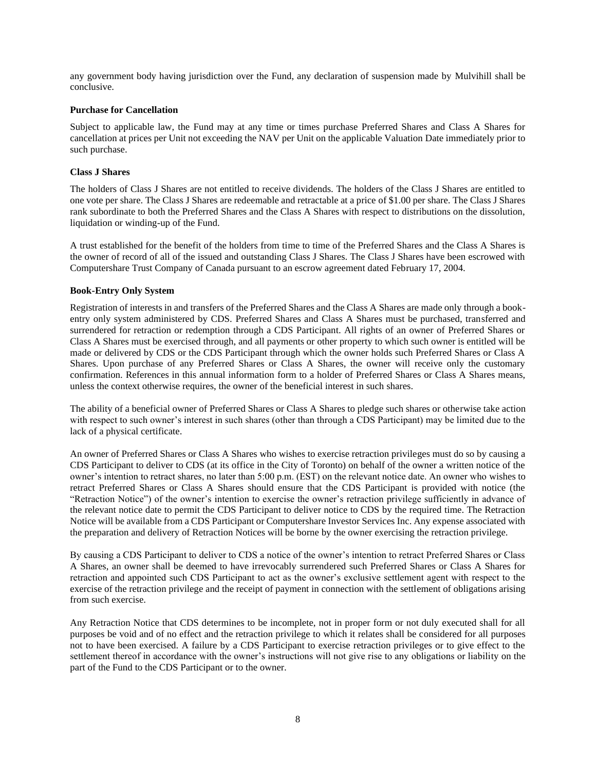any government body having jurisdiction over the Fund, any declaration of suspension made by Mulvihill shall be conclusive.

### <span id="page-10-0"></span>**Purchase for Cancellation**

Subject to applicable law, the Fund may at any time or times purchase Preferred Shares and Class A Shares for cancellation at prices per Unit not exceeding the NAV per Unit on the applicable Valuation Date immediately prior to such purchase.

## <span id="page-10-1"></span>**Class J Shares**

The holders of Class J Shares are not entitled to receive dividends. The holders of the Class J Shares are entitled to one vote per share. The Class J Shares are redeemable and retractable at a price of \$1.00 per share. The Class J Shares rank subordinate to both the Preferred Shares and the Class A Shares with respect to distributions on the dissolution, liquidation or winding-up of the Fund.

A trust established for the benefit of the holders from time to time of the Preferred Shares and the Class A Shares is the owner of record of all of the issued and outstanding Class J Shares. The Class J Shares have been escrowed with Computershare Trust Company of Canada pursuant to an escrow agreement dated February 17, 2004.

### <span id="page-10-2"></span>**Book-Entry Only System**

Registration of interests in and transfers of the Preferred Shares and the Class A Shares are made only through a bookentry only system administered by CDS. Preferred Shares and Class A Shares must be purchased, transferred and surrendered for retraction or redemption through a CDS Participant. All rights of an owner of Preferred Shares or Class A Shares must be exercised through, and all payments or other property to which such owner is entitled will be made or delivered by CDS or the CDS Participant through which the owner holds such Preferred Shares or Class A Shares. Upon purchase of any Preferred Shares or Class A Shares, the owner will receive only the customary confirmation. References in this annual information form to a holder of Preferred Shares or Class A Shares means, unless the context otherwise requires, the owner of the beneficial interest in such shares.

The ability of a beneficial owner of Preferred Shares or Class A Shares to pledge such shares or otherwise take action with respect to such owner's interest in such shares (other than through a CDS Participant) may be limited due to the lack of a physical certificate.

An owner of Preferred Shares or Class A Shares who wishes to exercise retraction privileges must do so by causing a CDS Participant to deliver to CDS (at its office in the City of Toronto) on behalf of the owner a written notice of the owner's intention to retract shares, no later than 5:00 p.m. (EST) on the relevant notice date. An owner who wishes to retract Preferred Shares or Class A Shares should ensure that the CDS Participant is provided with notice (the "Retraction Notice") of the owner's intention to exercise the owner's retraction privilege sufficiently in advance of the relevant notice date to permit the CDS Participant to deliver notice to CDS by the required time. The Retraction Notice will be available from a CDS Participant or Computershare Investor Services Inc. Any expense associated with the preparation and delivery of Retraction Notices will be borne by the owner exercising the retraction privilege.

By causing a CDS Participant to deliver to CDS a notice of the owner's intention to retract Preferred Shares or Class A Shares, an owner shall be deemed to have irrevocably surrendered such Preferred Shares or Class A Shares for retraction and appointed such CDS Participant to act as the owner's exclusive settlement agent with respect to the exercise of the retraction privilege and the receipt of payment in connection with the settlement of obligations arising from such exercise.

Any Retraction Notice that CDS determines to be incomplete, not in proper form or not duly executed shall for all purposes be void and of no effect and the retraction privilege to which it relates shall be considered for all purposes not to have been exercised. A failure by a CDS Participant to exercise retraction privileges or to give effect to the settlement thereof in accordance with the owner's instructions will not give rise to any obligations or liability on the part of the Fund to the CDS Participant or to the owner.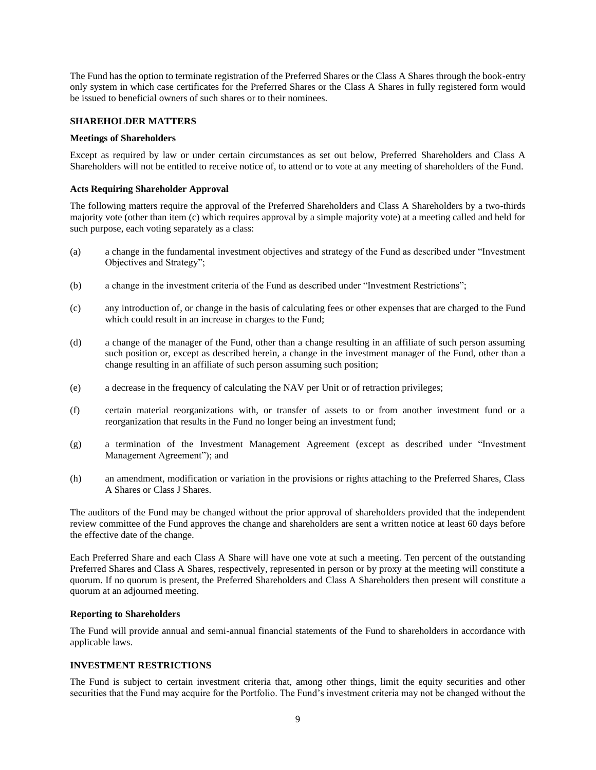The Fund has the option to terminate registration of the Preferred Shares or the Class A Shares through the book-entry only system in which case certificates for the Preferred Shares or the Class A Shares in fully registered form would be issued to beneficial owners of such shares or to their nominees.

## <span id="page-11-0"></span>**SHAREHOLDER MATTERS**

#### <span id="page-11-1"></span>**Meetings of Shareholders**

Except as required by law or under certain circumstances as set out below, Preferred Shareholders and Class A Shareholders will not be entitled to receive notice of, to attend or to vote at any meeting of shareholders of the Fund.

## <span id="page-11-2"></span>**Acts Requiring Shareholder Approval**

The following matters require the approval of the Preferred Shareholders and Class A Shareholders by a two-thirds majority vote (other than item (c) which requires approval by a simple majority vote) at a meeting called and held for such purpose, each voting separately as a class:

- (a) a change in the fundamental investment objectives and strategy of the Fund as described under "Investment Objectives and Strategy";
- (b) a change in the investment criteria of the Fund as described under "Investment Restrictions";
- (c) any introduction of, or change in the basis of calculating fees or other expenses that are charged to the Fund which could result in an increase in charges to the Fund;
- (d) a change of the manager of the Fund, other than a change resulting in an affiliate of such person assuming such position or, except as described herein, a change in the investment manager of the Fund, other than a change resulting in an affiliate of such person assuming such position;
- (e) a decrease in the frequency of calculating the NAV per Unit or of retraction privileges;
- (f) certain material reorganizations with, or transfer of assets to or from another investment fund or a reorganization that results in the Fund no longer being an investment fund;
- (g) a termination of the Investment Management Agreement (except as described under "Investment Management Agreement"); and
- (h) an amendment, modification or variation in the provisions or rights attaching to the Preferred Shares, Class A Shares or Class J Shares.

The auditors of the Fund may be changed without the prior approval of shareholders provided that the independent review committee of the Fund approves the change and shareholders are sent a written notice at least 60 days before the effective date of the change.

Each Preferred Share and each Class A Share will have one vote at such a meeting. Ten percent of the outstanding Preferred Shares and Class A Shares, respectively, represented in person or by proxy at the meeting will constitute a quorum. If no quorum is present, the Preferred Shareholders and Class A Shareholders then present will constitute a quorum at an adjourned meeting.

## <span id="page-11-3"></span>**Reporting to Shareholders**

The Fund will provide annual and semi-annual financial statements of the Fund to shareholders in accordance with applicable laws.

## <span id="page-11-4"></span>**INVESTMENT RESTRICTIONS**

The Fund is subject to certain investment criteria that, among other things, limit the equity securities and other securities that the Fund may acquire for the Portfolio. The Fund's investment criteria may not be changed without the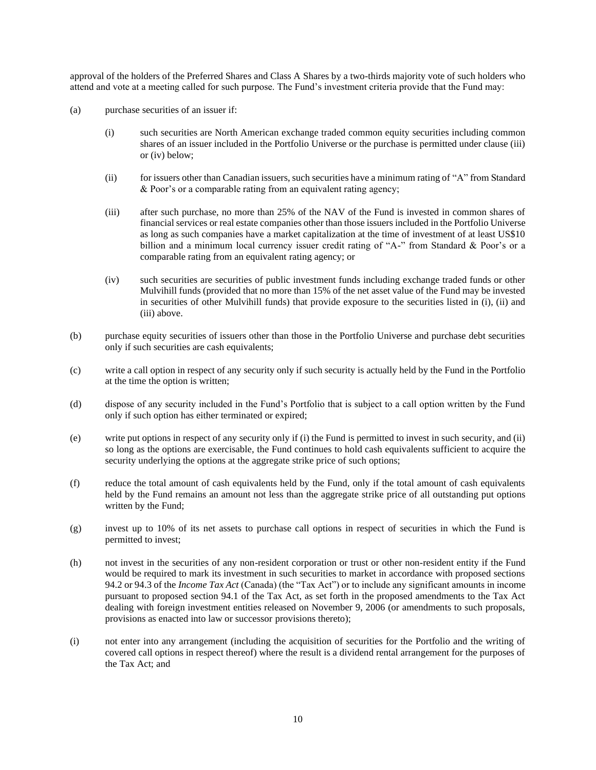approval of the holders of the Preferred Shares and Class A Shares by a two-thirds majority vote of such holders who attend and vote at a meeting called for such purpose. The Fund's investment criteria provide that the Fund may:

- (a) purchase securities of an issuer if:
	- (i) such securities are North American exchange traded common equity securities including common shares of an issuer included in the Portfolio Universe or the purchase is permitted under clause (iii) or (iv) below;
	- (ii) for issuers other than Canadian issuers, such securities have a minimum rating of "A" from Standard & Poor's or a comparable rating from an equivalent rating agency;
	- (iii) after such purchase, no more than 25% of the NAV of the Fund is invested in common shares of financial services or real estate companies other than those issuers included in the Portfolio Universe as long as such companies have a market capitalization at the time of investment of at least US\$10 billion and a minimum local currency issuer credit rating of "A-" from Standard & Poor's or a comparable rating from an equivalent rating agency; or
	- (iv) such securities are securities of public investment funds including exchange traded funds or other Mulvihill funds (provided that no more than 15% of the net asset value of the Fund may be invested in securities of other Mulvihill funds) that provide exposure to the securities listed in (i), (ii) and (iii) above.
- (b) purchase equity securities of issuers other than those in the Portfolio Universe and purchase debt securities only if such securities are cash equivalents;
- (c) write a call option in respect of any security only if such security is actually held by the Fund in the Portfolio at the time the option is written;
- (d) dispose of any security included in the Fund's Portfolio that is subject to a call option written by the Fund only if such option has either terminated or expired;
- (e) write put options in respect of any security only if (i) the Fund is permitted to invest in such security, and (ii) so long as the options are exercisable, the Fund continues to hold cash equivalents sufficient to acquire the security underlying the options at the aggregate strike price of such options;
- (f) reduce the total amount of cash equivalents held by the Fund, only if the total amount of cash equivalents held by the Fund remains an amount not less than the aggregate strike price of all outstanding put options written by the Fund;
- (g) invest up to 10% of its net assets to purchase call options in respect of securities in which the Fund is permitted to invest;
- (h) not invest in the securities of any non-resident corporation or trust or other non-resident entity if the Fund would be required to mark its investment in such securities to market in accordance with proposed sections 94.2 or 94.3 of the *Income Tax Act* (Canada) (the "Tax Act") or to include any significant amounts in income pursuant to proposed section 94.1 of the Tax Act, as set forth in the proposed amendments to the Tax Act dealing with foreign investment entities released on November 9, 2006 (or amendments to such proposals, provisions as enacted into law or successor provisions thereto);
- (i) not enter into any arrangement (including the acquisition of securities for the Portfolio and the writing of covered call options in respect thereof) where the result is a dividend rental arrangement for the purposes of the Tax Act; and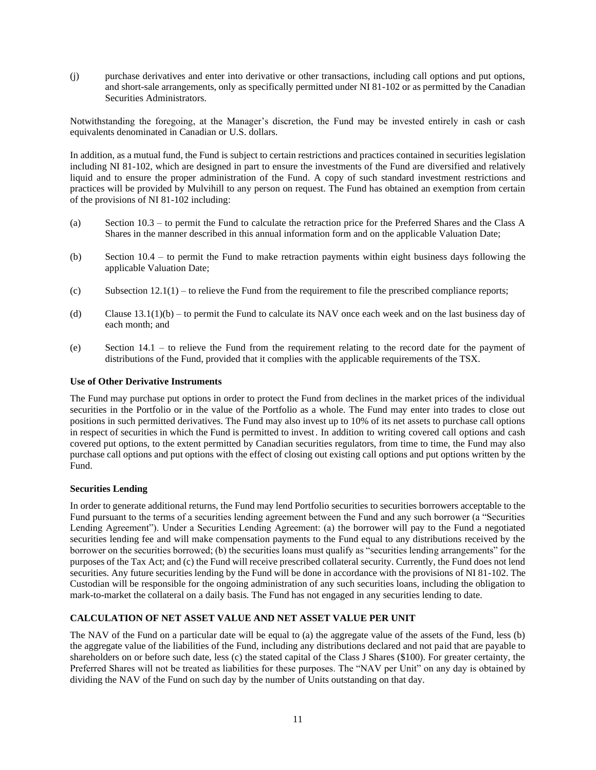(j) purchase derivatives and enter into derivative or other transactions, including call options and put options, and short-sale arrangements, only as specifically permitted under NI 81-102 or as permitted by the Canadian Securities Administrators.

Notwithstanding the foregoing, at the Manager's discretion, the Fund may be invested entirely in cash or cash equivalents denominated in Canadian or U.S. dollars.

In addition, as a mutual fund, the Fund is subject to certain restrictions and practices contained in securities legislation including NI 81-102, which are designed in part to ensure the investments of the Fund are diversified and relatively liquid and to ensure the proper administration of the Fund. A copy of such standard investment restrictions and practices will be provided by Mulvihill to any person on request. The Fund has obtained an exemption from certain of the provisions of NI 81-102 including:

- (a) Section 10.3 to permit the Fund to calculate the retraction price for the Preferred Shares and the Class A Shares in the manner described in this annual information form and on the applicable Valuation Date;
- (b) Section 10.4 to permit the Fund to make retraction payments within eight business days following the applicable Valuation Date;
- (c) Subsection  $12.1(1)$  to relieve the Fund from the requirement to file the prescribed compliance reports;
- (d) Clause  $13.1(1)(b)$  to permit the Fund to calculate its NAV once each week and on the last business day of each month; and
- (e) Section 14.1 to relieve the Fund from the requirement relating to the record date for the payment of distributions of the Fund, provided that it complies with the applicable requirements of the TSX.

### <span id="page-13-0"></span>**Use of Other Derivative Instruments**

The Fund may purchase put options in order to protect the Fund from declines in the market prices of the individual securities in the Portfolio or in the value of the Portfolio as a whole. The Fund may enter into trades to close out positions in such permitted derivatives. The Fund may also invest up to 10% of its net assets to purchase call options in respect of securities in which the Fund is permitted to invest. In addition to writing covered call options and cash covered put options, to the extent permitted by Canadian securities regulators, from time to time, the Fund may also purchase call options and put options with the effect of closing out existing call options and put options written by the Fund.

#### <span id="page-13-1"></span>**Securities Lending**

In order to generate additional returns, the Fund may lend Portfolio securities to securities borrowers acceptable to the Fund pursuant to the terms of a securities lending agreement between the Fund and any such borrower (a "Securities Lending Agreement"). Under a Securities Lending Agreement: (a) the borrower will pay to the Fund a negotiated securities lending fee and will make compensation payments to the Fund equal to any distributions received by the borrower on the securities borrowed; (b) the securities loans must qualify as "securities lending arrangements" for the purposes of the Tax Act; and (c) the Fund will receive prescribed collateral security. Currently, the Fund does not lend securities. Any future securities lending by the Fund will be done in accordance with the provisions of NI 81-102. The Custodian will be responsible for the ongoing administration of any such securities loans, including the obligation to mark-to-market the collateral on a daily basis. The Fund has not engaged in any securities lending to date.

## <span id="page-13-2"></span>**CALCULATION OF NET ASSET VALUE AND NET ASSET VALUE PER UNIT**

The NAV of the Fund on a particular date will be equal to (a) the aggregate value of the assets of the Fund, less (b) the aggregate value of the liabilities of the Fund, including any distributions declared and not paid that are payable to shareholders on or before such date, less (c) the stated capital of the Class J Shares (\$100). For greater certainty, the Preferred Shares will not be treated as liabilities for these purposes. The "NAV per Unit" on any day is obtained by dividing the NAV of the Fund on such day by the number of Units outstanding on that day.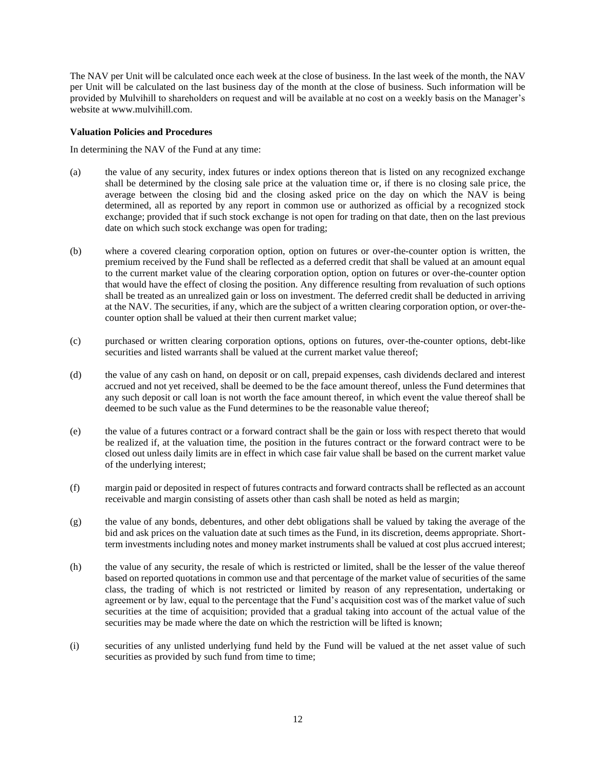The NAV per Unit will be calculated once each week at the close of business. In the last week of the month, the NAV per Unit will be calculated on the last business day of the month at the close of business. Such information will be provided by Mulvihill to shareholders on request and will be available at no cost on a weekly basis on the Manager's website at www.mulvihill.com.

#### <span id="page-14-0"></span>**Valuation Policies and Procedures**

In determining the NAV of the Fund at any time:

- (a) the value of any security, index futures or index options thereon that is listed on any recognized exchange shall be determined by the closing sale price at the valuation time or, if there is no closing sale price, the average between the closing bid and the closing asked price on the day on which the NAV is being determined, all as reported by any report in common use or authorized as official by a recognized stock exchange; provided that if such stock exchange is not open for trading on that date, then on the last previous date on which such stock exchange was open for trading;
- (b) where a covered clearing corporation option, option on futures or over-the-counter option is written, the premium received by the Fund shall be reflected as a deferred credit that shall be valued at an amount equal to the current market value of the clearing corporation option, option on futures or over-the-counter option that would have the effect of closing the position. Any difference resulting from revaluation of such options shall be treated as an unrealized gain or loss on investment. The deferred credit shall be deducted in arriving at the NAV. The securities, if any, which are the subject of a written clearing corporation option, or over-thecounter option shall be valued at their then current market value;
- (c) purchased or written clearing corporation options, options on futures, over-the-counter options, debt-like securities and listed warrants shall be valued at the current market value thereof;
- (d) the value of any cash on hand, on deposit or on call, prepaid expenses, cash dividends declared and interest accrued and not yet received, shall be deemed to be the face amount thereof, unless the Fund determines that any such deposit or call loan is not worth the face amount thereof, in which event the value thereof shall be deemed to be such value as the Fund determines to be the reasonable value thereof;
- (e) the value of a futures contract or a forward contract shall be the gain or loss with respect thereto that would be realized if, at the valuation time, the position in the futures contract or the forward contract were to be closed out unless daily limits are in effect in which case fair value shall be based on the current market value of the underlying interest;
- (f) margin paid or deposited in respect of futures contracts and forward contracts shall be reflected as an account receivable and margin consisting of assets other than cash shall be noted as held as margin;
- (g) the value of any bonds, debentures, and other debt obligations shall be valued by taking the average of the bid and ask prices on the valuation date at such times as the Fund, in its discretion, deems appropriate. Shortterm investments including notes and money market instruments shall be valued at cost plus accrued interest;
- (h) the value of any security, the resale of which is restricted or limited, shall be the lesser of the value thereof based on reported quotations in common use and that percentage of the market value of securities of the same class, the trading of which is not restricted or limited by reason of any representation, undertaking or agreement or by law, equal to the percentage that the Fund's acquisition cost was of the market value of such securities at the time of acquisition; provided that a gradual taking into account of the actual value of the securities may be made where the date on which the restriction will be lifted is known;
- (i) securities of any unlisted underlying fund held by the Fund will be valued at the net asset value of such securities as provided by such fund from time to time;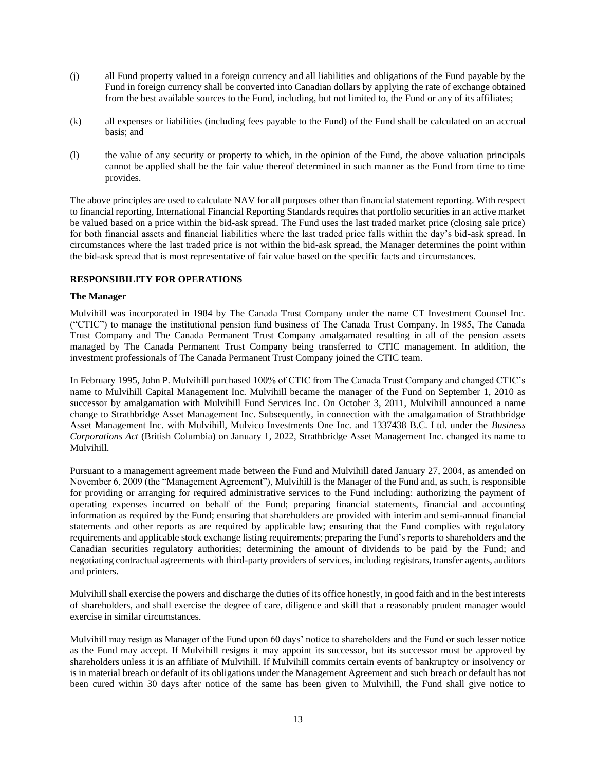- (j) all Fund property valued in a foreign currency and all liabilities and obligations of the Fund payable by the Fund in foreign currency shall be converted into Canadian dollars by applying the rate of exchange obtained from the best available sources to the Fund, including, but not limited to, the Fund or any of its affiliates;
- (k) all expenses or liabilities (including fees payable to the Fund) of the Fund shall be calculated on an accrual basis; and
- (l) the value of any security or property to which, in the opinion of the Fund, the above valuation principals cannot be applied shall be the fair value thereof determined in such manner as the Fund from time to time provides.

The above principles are used to calculate NAV for all purposes other than financial statement reporting. With respect to financial reporting, International Financial Reporting Standards requires that portfolio securities in an active market be valued based on a price within the bid-ask spread. The Fund uses the last traded market price (closing sale price) for both financial assets and financial liabilities where the last traded price falls within the day's bid-ask spread. In circumstances where the last traded price is not within the bid-ask spread, the Manager determines the point within the bid-ask spread that is most representative of fair value based on the specific facts and circumstances.

## <span id="page-15-0"></span>**RESPONSIBILITY FOR OPERATIONS**

#### <span id="page-15-1"></span>**The Manager**

Mulvihill was incorporated in 1984 by The Canada Trust Company under the name CT Investment Counsel Inc. ("CTIC") to manage the institutional pension fund business of The Canada Trust Company. In 1985, The Canada Trust Company and The Canada Permanent Trust Company amalgamated resulting in all of the pension assets managed by The Canada Permanent Trust Company being transferred to CTIC management. In addition, the investment professionals of The Canada Permanent Trust Company joined the CTIC team.

In February 1995, John P. Mulvihill purchased 100% of CTIC from The Canada Trust Company and changed CTIC's name to Mulvihill Capital Management Inc. Mulvihill became the manager of the Fund on September 1, 2010 as successor by amalgamation with Mulvihill Fund Services Inc. On October 3, 2011, Mulvihill announced a name change to Strathbridge Asset Management Inc. Subsequently, in connection with the amalgamation of Strathbridge Asset Management Inc. with Mulvihill, Mulvico Investments One Inc. and 1337438 B.C. Ltd. under the *Business Corporations Act* (British Columbia) on January 1, 2022, Strathbridge Asset Management Inc. changed its name to Mulvihill.

Pursuant to a management agreement made between the Fund and Mulvihill dated January 27, 2004, as amended on November 6, 2009 (the "Management Agreement"), Mulvihill is the Manager of the Fund and, as such, is responsible for providing or arranging for required administrative services to the Fund including: authorizing the payment of operating expenses incurred on behalf of the Fund; preparing financial statements, financial and accounting information as required by the Fund; ensuring that shareholders are provided with interim and semi-annual financial statements and other reports as are required by applicable law; ensuring that the Fund complies with regulatory requirements and applicable stock exchange listing requirements; preparing the Fund's reports to shareholders and the Canadian securities regulatory authorities; determining the amount of dividends to be paid by the Fund; and negotiating contractual agreements with third-party providers of services, including registrars, transfer agents, auditors and printers.

Mulvihill shall exercise the powers and discharge the duties of its office honestly, in good faith and in the best interests of shareholders, and shall exercise the degree of care, diligence and skill that a reasonably prudent manager would exercise in similar circumstances.

Mulvihill may resign as Manager of the Fund upon 60 days' notice to shareholders and the Fund or such lesser notice as the Fund may accept. If Mulvihill resigns it may appoint its successor, but its successor must be approved by shareholders unless it is an affiliate of Mulvihill. If Mulvihill commits certain events of bankruptcy or insolvency or is in material breach or default of its obligations under the Management Agreement and such breach or default has not been cured within 30 days after notice of the same has been given to Mulvihill, the Fund shall give notice to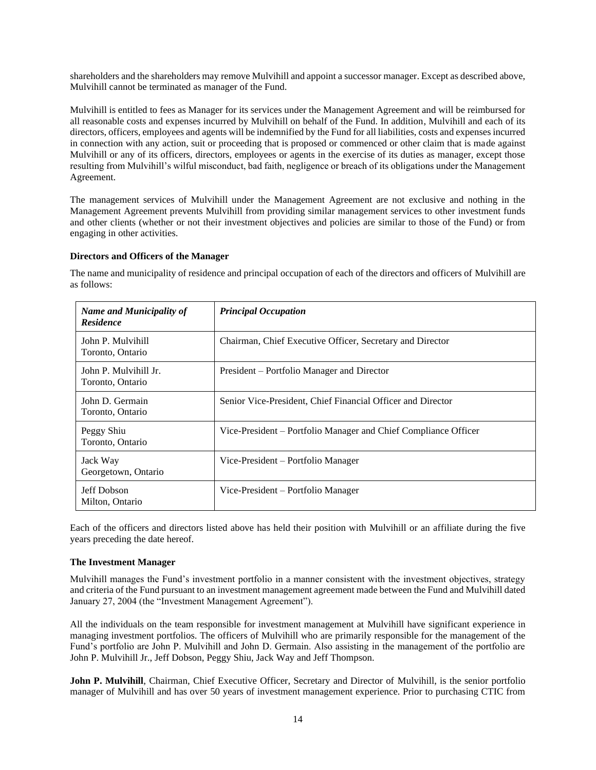shareholders and the shareholders may remove Mulvihill and appoint a successor manager. Except as described above, Mulvihill cannot be terminated as manager of the Fund.

Mulvihill is entitled to fees as Manager for its services under the Management Agreement and will be reimbursed for all reasonable costs and expenses incurred by Mulvihill on behalf of the Fund. In addition, Mulvihill and each of its directors, officers, employees and agents will be indemnified by the Fund for all liabilities, costs and expenses incurred in connection with any action, suit or proceeding that is proposed or commenced or other claim that is made against Mulvihill or any of its officers, directors, employees or agents in the exercise of its duties as manager, except those resulting from Mulvihill's wilful misconduct, bad faith, negligence or breach of its obligations under the Management Agreement.

The management services of Mulvihill under the Management Agreement are not exclusive and nothing in the Management Agreement prevents Mulvihill from providing similar management services to other investment funds and other clients (whether or not their investment objectives and policies are similar to those of the Fund) or from engaging in other activities.

### <span id="page-16-0"></span>**Directors and Officers of the Manager**

as follows: *Name and Municipality of Residence Principal Occupation*

The name and municipality of residence and principal occupation of each of the directors and officers of Mulvihill are

| <i>Name and Municipality of</i><br><b>Residence</b> | т гикиран өссиранон                                             |
|-----------------------------------------------------|-----------------------------------------------------------------|
| John P. Mulvihill<br>Toronto, Ontario               | Chairman, Chief Executive Officer, Secretary and Director       |
| John P. Mulvihill Jr.<br>Toronto, Ontario           | President – Portfolio Manager and Director                      |
| John D. Germain<br>Toronto, Ontario                 | Senior Vice-President, Chief Financial Officer and Director     |
| Peggy Shiu<br>Toronto, Ontario                      | Vice-President – Portfolio Manager and Chief Compliance Officer |
| Jack Way<br>Georgetown, Ontario                     | Vice-President – Portfolio Manager                              |
| Jeff Dobson<br>Milton, Ontario                      | Vice-President – Portfolio Manager                              |

Each of the officers and directors listed above has held their position with Mulvihill or an affiliate during the five years preceding the date hereof.

## <span id="page-16-1"></span>**The Investment Manager**

Mulvihill manages the Fund's investment portfolio in a manner consistent with the investment objectives, strategy and criteria of the Fund pursuant to an investment management agreement made between the Fund and Mulvihill dated January 27, 2004 (the "Investment Management Agreement").

All the individuals on the team responsible for investment management at Mulvihill have significant experience in managing investment portfolios. The officers of Mulvihill who are primarily responsible for the management of the Fund's portfolio are John P. Mulvihill and John D. Germain. Also assisting in the management of the portfolio are John P. Mulvihill Jr., Jeff Dobson, Peggy Shiu, Jack Way and Jeff Thompson.

**John P. Mulvihill**, Chairman, Chief Executive Officer, Secretary and Director of Mulvihill, is the senior portfolio manager of Mulvihill and has over 50 years of investment management experience. Prior to purchasing CTIC from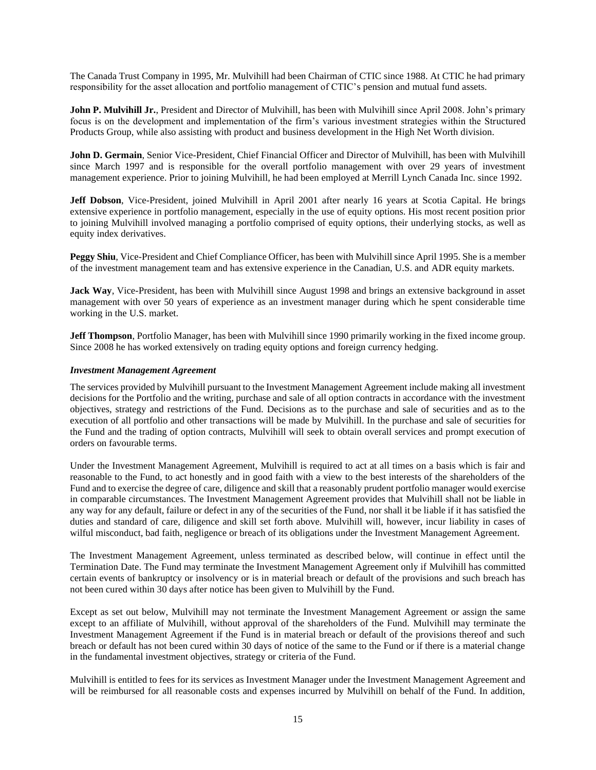The Canada Trust Company in 1995, Mr. Mulvihill had been Chairman of CTIC since 1988. At CTIC he had primary responsibility for the asset allocation and portfolio management of CTIC's pension and mutual fund assets.

**John P. Mulvihill Jr.**, President and Director of Mulvihill, has been with Mulvihill since April 2008. John's primary focus is on the development and implementation of the firm's various investment strategies within the Structured Products Group, while also assisting with product and business development in the High Net Worth division.

**John D. Germain**, Senior Vice-President, Chief Financial Officer and Director of Mulvihill, has been with Mulvihill since March 1997 and is responsible for the overall portfolio management with over 29 years of investment management experience. Prior to joining Mulvihill, he had been employed at Merrill Lynch Canada Inc. since 1992.

**Jeff Dobson**, Vice-President, joined Mulvihill in April 2001 after nearly 16 years at Scotia Capital. He brings extensive experience in portfolio management, especially in the use of equity options. His most recent position prior to joining Mulvihill involved managing a portfolio comprised of equity options, their underlying stocks, as well as equity index derivatives.

**Peggy Shiu**, Vice-President and Chief Compliance Officer, has been with Mulvihill since April 1995. She is a member of the investment management team and has extensive experience in the Canadian, U.S. and ADR equity markets.

**Jack Way**, Vice-President, has been with Mulvihill since August 1998 and brings an extensive background in asset management with over 50 years of experience as an investment manager during which he spent considerable time working in the U.S. market.

**Jeff Thompson**, Portfolio Manager, has been with Mulvihill since 1990 primarily working in the fixed income group. Since 2008 he has worked extensively on trading equity options and foreign currency hedging.

## <span id="page-17-0"></span>*Investment Management Agreement*

The services provided by Mulvihill pursuant to the Investment Management Agreement include making all investment decisions for the Portfolio and the writing, purchase and sale of all option contracts in accordance with the investment objectives, strategy and restrictions of the Fund. Decisions as to the purchase and sale of securities and as to the execution of all portfolio and other transactions will be made by Mulvihill. In the purchase and sale of securities for the Fund and the trading of option contracts, Mulvihill will seek to obtain overall services and prompt execution of orders on favourable terms.

Under the Investment Management Agreement, Mulvihill is required to act at all times on a basis which is fair and reasonable to the Fund, to act honestly and in good faith with a view to the best interests of the shareholders of the Fund and to exercise the degree of care, diligence and skill that a reasonably prudent portfolio manager would exercise in comparable circumstances. The Investment Management Agreement provides that Mulvihill shall not be liable in any way for any default, failure or defect in any of the securities of the Fund, nor shall it be liable if it has satisfied the duties and standard of care, diligence and skill set forth above. Mulvihill will, however, incur liability in cases of wilful misconduct, bad faith, negligence or breach of its obligations under the Investment Management Agreement.

The Investment Management Agreement, unless terminated as described below, will continue in effect until the Termination Date. The Fund may terminate the Investment Management Agreement only if Mulvihill has committed certain events of bankruptcy or insolvency or is in material breach or default of the provisions and such breach has not been cured within 30 days after notice has been given to Mulvihill by the Fund.

Except as set out below, Mulvihill may not terminate the Investment Management Agreement or assign the same except to an affiliate of Mulvihill, without approval of the shareholders of the Fund. Mulvihill may terminate the Investment Management Agreement if the Fund is in material breach or default of the provisions thereof and such breach or default has not been cured within 30 days of notice of the same to the Fund or if there is a material change in the fundamental investment objectives, strategy or criteria of the Fund.

Mulvihill is entitled to fees for its services as Investment Manager under the Investment Management Agreement and will be reimbursed for all reasonable costs and expenses incurred by Mulvihill on behalf of the Fund. In addition,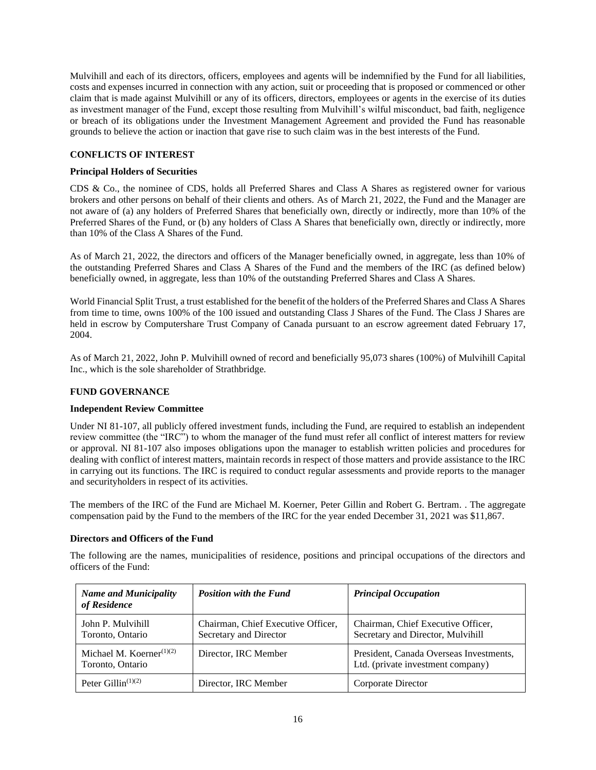Mulvihill and each of its directors, officers, employees and agents will be indemnified by the Fund for all liabilities, costs and expenses incurred in connection with any action, suit or proceeding that is proposed or commenced or other claim that is made against Mulvihill or any of its officers, directors, employees or agents in the exercise of its duties as investment manager of the Fund, except those resulting from Mulvihill's wilful misconduct, bad faith, negligence or breach of its obligations under the Investment Management Agreement and provided the Fund has reasonable grounds to believe the action or inaction that gave rise to such claim was in the best interests of the Fund.

## <span id="page-18-0"></span>**CONFLICTS OF INTEREST**

## <span id="page-18-1"></span>**Principal Holders of Securities**

CDS & Co., the nominee of CDS, holds all Preferred Shares and Class A Shares as registered owner for various brokers and other persons on behalf of their clients and others. As of March 21, 2022, the Fund and the Manager are not aware of (a) any holders of Preferred Shares that beneficially own, directly or indirectly, more than 10% of the Preferred Shares of the Fund, or (b) any holders of Class A Shares that beneficially own, directly or indirectly, more than 10% of the Class A Shares of the Fund.

As of March 21, 2022, the directors and officers of the Manager beneficially owned, in aggregate, less than 10% of the outstanding Preferred Shares and Class A Shares of the Fund and the members of the IRC (as defined below) beneficially owned, in aggregate, less than 10% of the outstanding Preferred Shares and Class A Shares.

World Financial Split Trust, a trust established for the benefit of the holders of the Preferred Shares and Class A Shares from time to time, owns 100% of the 100 issued and outstanding Class J Shares of the Fund. The Class J Shares are held in escrow by Computershare Trust Company of Canada pursuant to an escrow agreement dated February 17, 2004.

As of March 21, 2022, John P. Mulvihill owned of record and beneficially 95,073 shares (100%) of Mulvihill Capital Inc., which is the sole shareholder of Strathbridge.

#### <span id="page-18-2"></span>**FUND GOVERNANCE**

#### <span id="page-18-3"></span>**Independent Review Committee**

Under NI 81-107, all publicly offered investment funds, including the Fund, are required to establish an independent review committee (the "IRC") to whom the manager of the fund must refer all conflict of interest matters for review or approval. NI 81-107 also imposes obligations upon the manager to establish written policies and procedures for dealing with conflict of interest matters, maintain records in respect of those matters and provide assistance to the IRC in carrying out its functions. The IRC is required to conduct regular assessments and provide reports to the manager and securityholders in respect of its activities.

The members of the IRC of the Fund are Michael M. Koerner, Peter Gillin and Robert G. Bertram. . The aggregate compensation paid by the Fund to the members of the IRC for the year ended December 31, 2021 was \$11,867.

#### <span id="page-18-4"></span>**Directors and Officers of the Fund**

The following are the names, municipalities of residence, positions and principal occupations of the directors and officers of the Fund:

| <b>Name and Municipality</b><br>of Residence    | <b>Position with the Fund</b>                                | <b>Principal Occupation</b>                                                  |
|-------------------------------------------------|--------------------------------------------------------------|------------------------------------------------------------------------------|
| John P. Mulvihill<br>Toronto, Ontario           | Chairman, Chief Executive Officer,<br>Secretary and Director | Chairman, Chief Executive Officer,<br>Secretary and Director, Mulvihill      |
| Michael M. Koerner $(1)(2)$<br>Toronto, Ontario | Director, IRC Member                                         | President, Canada Overseas Investments,<br>Ltd. (private investment company) |
| Peter Gillin <sup><math>(1)(2)</math></sup>     | Director, IRC Member                                         | Corporate Director                                                           |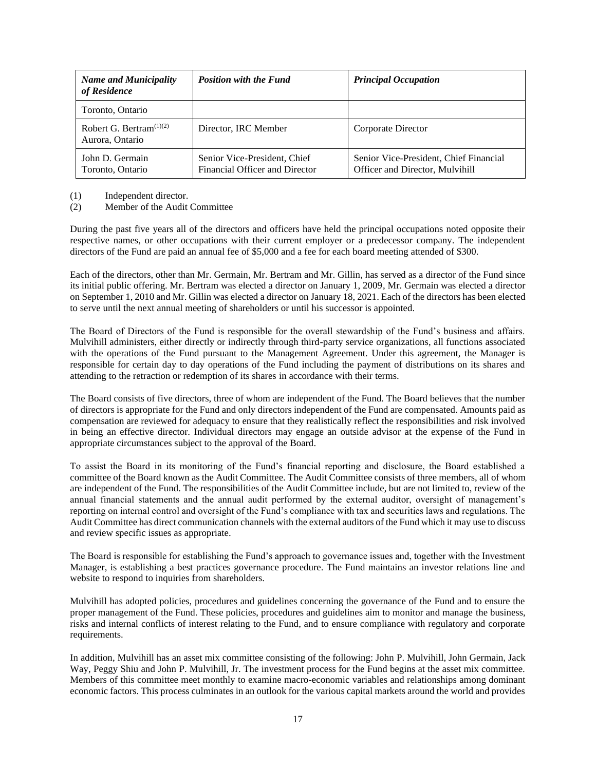| <b>Name and Municipality</b><br>of Residence  | <b>Position with the Fund</b>                                  | <b>Principal Occupation</b>                                               |
|-----------------------------------------------|----------------------------------------------------------------|---------------------------------------------------------------------------|
| Toronto, Ontario                              |                                                                |                                                                           |
| Robert G. Bertram $(1)(2)$<br>Aurora, Ontario | Director, IRC Member                                           | Corporate Director                                                        |
| John D. Germain<br>Toronto, Ontario           | Senior Vice-President, Chief<br>Financial Officer and Director | Senior Vice-President, Chief Financial<br>Officer and Director, Mulvihill |

(1) Independent director.

(2) Member of the Audit Committee

During the past five years all of the directors and officers have held the principal occupations noted opposite their respective names, or other occupations with their current employer or a predecessor company. The independent directors of the Fund are paid an annual fee of \$5,000 and a fee for each board meeting attended of \$300.

Each of the directors, other than Mr. Germain, Mr. Bertram and Mr. Gillin, has served as a director of the Fund since its initial public offering. Mr. Bertram was elected a director on January 1, 2009, Mr. Germain was elected a director on September 1, 2010 and Mr. Gillin was elected a director on January 18, 2021. Each of the directors has been elected to serve until the next annual meeting of shareholders or until his successor is appointed.

The Board of Directors of the Fund is responsible for the overall stewardship of the Fund's business and affairs. Mulvihill administers, either directly or indirectly through third-party service organizations, all functions associated with the operations of the Fund pursuant to the Management Agreement. Under this agreement, the Manager is responsible for certain day to day operations of the Fund including the payment of distributions on its shares and attending to the retraction or redemption of its shares in accordance with their terms.

The Board consists of five directors, three of whom are independent of the Fund. The Board believes that the number of directors is appropriate for the Fund and only directors independent of the Fund are compensated. Amounts paid as compensation are reviewed for adequacy to ensure that they realistically reflect the responsibilities and risk involved in being an effective director. Individual directors may engage an outside advisor at the expense of the Fund in appropriate circumstances subject to the approval of the Board.

To assist the Board in its monitoring of the Fund's financial reporting and disclosure, the Board established a committee of the Board known as the Audit Committee. The Audit Committee consists of three members, all of whom are independent of the Fund. The responsibilities of the Audit Committee include, but are not limited to, review of the annual financial statements and the annual audit performed by the external auditor, oversight of management's reporting on internal control and oversight of the Fund's compliance with tax and securities laws and regulations. The Audit Committee has direct communication channels with the external auditors of the Fund which it may use to discuss and review specific issues as appropriate.

The Board is responsible for establishing the Fund's approach to governance issues and, together with the Investment Manager, is establishing a best practices governance procedure. The Fund maintains an investor relations line and website to respond to inquiries from shareholders.

Mulvihill has adopted policies, procedures and guidelines concerning the governance of the Fund and to ensure the proper management of the Fund. These policies, procedures and guidelines aim to monitor and manage the business, risks and internal conflicts of interest relating to the Fund, and to ensure compliance with regulatory and corporate requirements.

In addition, Mulvihill has an asset mix committee consisting of the following: John P. Mulvihill, John Germain, Jack Way, Peggy Shiu and John P. Mulvihill, Jr. The investment process for the Fund begins at the asset mix committee. Members of this committee meet monthly to examine macro-economic variables and relationships among dominant economic factors. This process culminates in an outlook for the various capital markets around the world and provides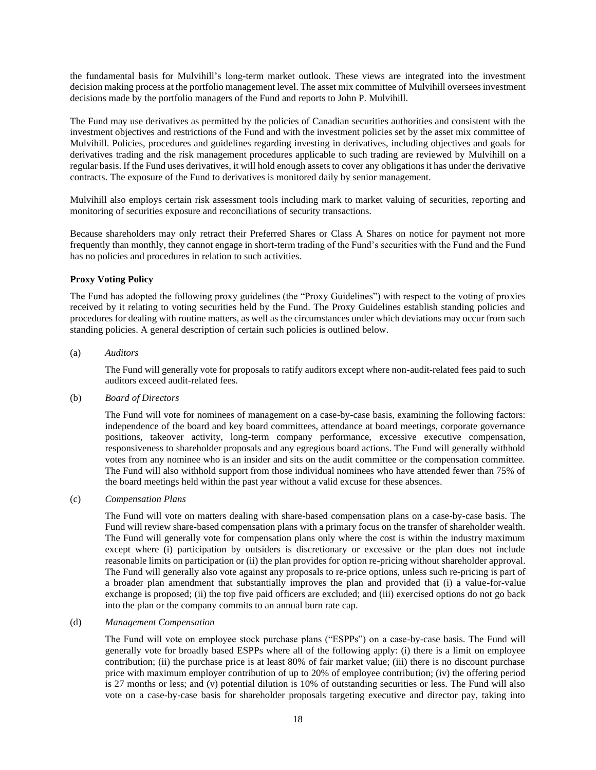the fundamental basis for Mulvihill's long-term market outlook. These views are integrated into the investment decision making process at the portfolio management level. The asset mix committee of Mulvihill oversees investment decisions made by the portfolio managers of the Fund and reports to John P. Mulvihill.

The Fund may use derivatives as permitted by the policies of Canadian securities authorities and consistent with the investment objectives and restrictions of the Fund and with the investment policies set by the asset mix committee of Mulvihill. Policies, procedures and guidelines regarding investing in derivatives, including objectives and goals for derivatives trading and the risk management procedures applicable to such trading are reviewed by Mulvihill on a regular basis. If the Fund uses derivatives, it will hold enough assets to cover any obligations it has under the derivative contracts. The exposure of the Fund to derivatives is monitored daily by senior management.

Mulvihill also employs certain risk assessment tools including mark to market valuing of securities, reporting and monitoring of securities exposure and reconciliations of security transactions.

Because shareholders may only retract their Preferred Shares or Class A Shares on notice for payment not more frequently than monthly, they cannot engage in short-term trading of the Fund's securities with the Fund and the Fund has no policies and procedures in relation to such activities.

### <span id="page-20-0"></span>**Proxy Voting Policy**

The Fund has adopted the following proxy guidelines (the "Proxy Guidelines") with respect to the voting of proxies received by it relating to voting securities held by the Fund. The Proxy Guidelines establish standing policies and procedures for dealing with routine matters, as well as the circumstances under which deviations may occur from such standing policies. A general description of certain such policies is outlined below.

## (a) *Auditors*

The Fund will generally vote for proposals to ratify auditors except where non-audit-related fees paid to such auditors exceed audit-related fees.

#### (b) *Board of Directors*

The Fund will vote for nominees of management on a case-by-case basis, examining the following factors: independence of the board and key board committees, attendance at board meetings, corporate governance positions, takeover activity, long-term company performance, excessive executive compensation, responsiveness to shareholder proposals and any egregious board actions. The Fund will generally withhold votes from any nominee who is an insider and sits on the audit committee or the compensation committee. The Fund will also withhold support from those individual nominees who have attended fewer than 75% of the board meetings held within the past year without a valid excuse for these absences.

## (c) *Compensation Plans*

The Fund will vote on matters dealing with share-based compensation plans on a case-by-case basis. The Fund will review share-based compensation plans with a primary focus on the transfer of shareholder wealth. The Fund will generally vote for compensation plans only where the cost is within the industry maximum except where (i) participation by outsiders is discretionary or excessive or the plan does not include reasonable limits on participation or (ii) the plan provides for option re-pricing without shareholder approval. The Fund will generally also vote against any proposals to re-price options, unless such re-pricing is part of a broader plan amendment that substantially improves the plan and provided that (i) a value-for-value exchange is proposed; (ii) the top five paid officers are excluded; and (iii) exercised options do not go back into the plan or the company commits to an annual burn rate cap.

#### (d) *Management Compensation*

The Fund will vote on employee stock purchase plans ("ESPPs") on a case-by-case basis. The Fund will generally vote for broadly based ESPPs where all of the following apply: (i) there is a limit on employee contribution; (ii) the purchase price is at least 80% of fair market value; (iii) there is no discount purchase price with maximum employer contribution of up to 20% of employee contribution; (iv) the offering period is 27 months or less; and (v) potential dilution is 10% of outstanding securities or less. The Fund will also vote on a case-by-case basis for shareholder proposals targeting executive and director pay, taking into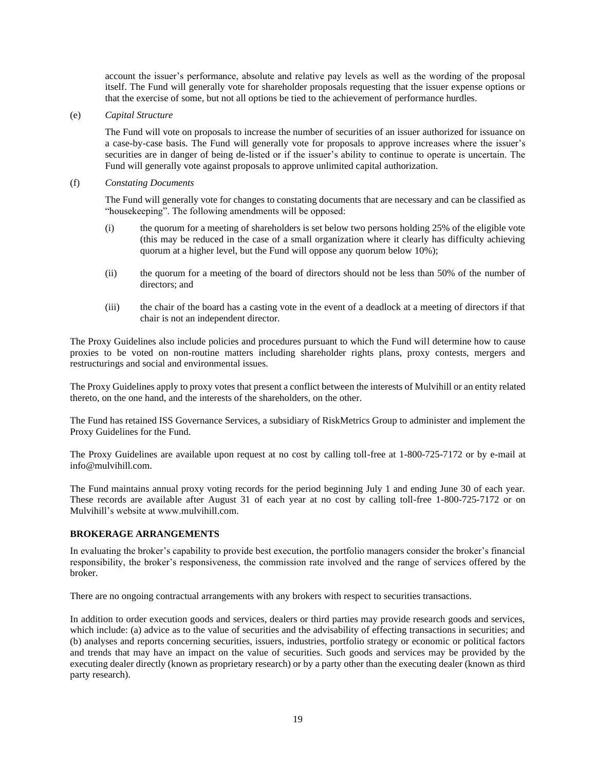account the issuer's performance, absolute and relative pay levels as well as the wording of the proposal itself. The Fund will generally vote for shareholder proposals requesting that the issuer expense options or that the exercise of some, but not all options be tied to the achievement of performance hurdles.

(e) *Capital Structure* 

The Fund will vote on proposals to increase the number of securities of an issuer authorized for issuance on a case-by-case basis. The Fund will generally vote for proposals to approve increases where the issuer's securities are in danger of being de-listed or if the issuer's ability to continue to operate is uncertain. The Fund will generally vote against proposals to approve unlimited capital authorization.

(f) *Constating Documents*

The Fund will generally vote for changes to constating documents that are necessary and can be classified as "housekeeping". The following amendments will be opposed:

- (i) the quorum for a meeting of shareholders is set below two persons holding 25% of the eligible vote (this may be reduced in the case of a small organization where it clearly has difficulty achieving quorum at a higher level, but the Fund will oppose any quorum below 10%);
- (ii) the quorum for a meeting of the board of directors should not be less than 50% of the number of directors; and
- (iii) the chair of the board has a casting vote in the event of a deadlock at a meeting of directors if that chair is not an independent director.

The Proxy Guidelines also include policies and procedures pursuant to which the Fund will determine how to cause proxies to be voted on non-routine matters including shareholder rights plans, proxy contests, mergers and restructurings and social and environmental issues.

The Proxy Guidelines apply to proxy votes that present a conflict between the interests of Mulvihill or an entity related thereto, on the one hand, and the interests of the shareholders, on the other.

The Fund has retained ISS Governance Services, a subsidiary of RiskMetrics Group to administer and implement the Proxy Guidelines for the Fund.

The Proxy Guidelines are available upon request at no cost by calling toll-free at 1-800-725-7172 or by e-mail at [info@mulvihill.com.](mailto:info@strathbridge.com)

The Fund maintains annual proxy voting records for the period beginning July 1 and ending June 30 of each year. These records are available after August 31 of each year at no cost by calling toll-free 1-800-725-7172 or on Mulvihill's website at www.mulvihill.com.

## <span id="page-21-0"></span>**BROKERAGE ARRANGEMENTS**

In evaluating the broker's capability to provide best execution, the portfolio managers consider the broker's financial responsibility, the broker's responsiveness, the commission rate involved and the range of services offered by the broker.

There are no ongoing contractual arrangements with any brokers with respect to securities transactions.

In addition to order execution goods and services, dealers or third parties may provide research goods and services, which include: (a) advice as to the value of securities and the advisability of effecting transactions in securities; and (b) analyses and reports concerning securities, issuers, industries, portfolio strategy or economic or political factors and trends that may have an impact on the value of securities. Such goods and services may be provided by the executing dealer directly (known as proprietary research) or by a party other than the executing dealer (known as third party research).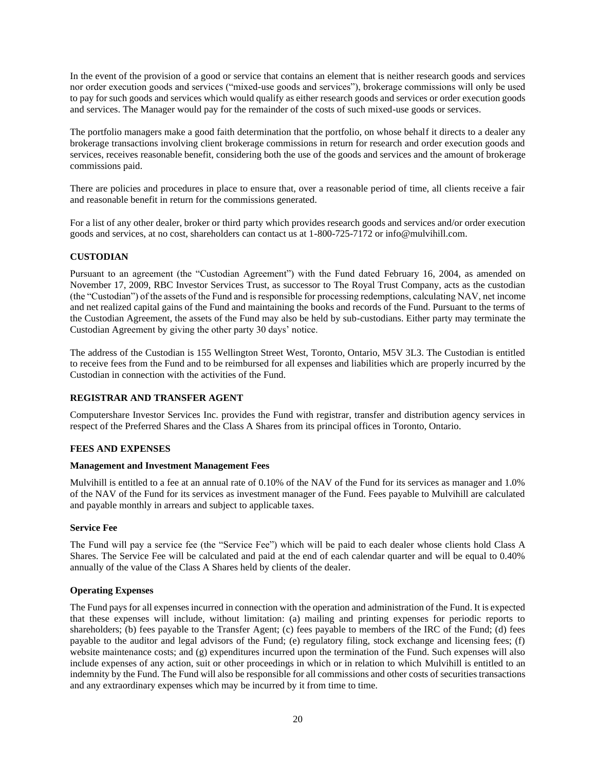In the event of the provision of a good or service that contains an element that is neither research goods and services nor order execution goods and services ("mixed-use goods and services"), brokerage commissions will only be used to pay for such goods and services which would qualify as either research goods and services or order execution goods and services. The Manager would pay for the remainder of the costs of such mixed-use goods or services.

The portfolio managers make a good faith determination that the portfolio, on whose behalf it directs to a dealer any brokerage transactions involving client brokerage commissions in return for research and order execution goods and services, receives reasonable benefit, considering both the use of the goods and services and the amount of brokerage commissions paid.

There are policies and procedures in place to ensure that, over a reasonable period of time, all clients receive a fair and reasonable benefit in return for the commissions generated.

For a list of any other dealer, broker or third party which provides research goods and services and/or order execution goods and services, at no cost, shareholders can contact us at 1-800-725-7172 or info@mulvihill.com.

## <span id="page-22-0"></span>**CUSTODIAN**

Pursuant to an agreement (the "Custodian Agreement") with the Fund dated February 16, 2004, as amended on November 17, 2009, RBC Investor Services Trust, as successor to The Royal Trust Company, acts as the custodian (the "Custodian") of the assets of the Fund and is responsible for processing redemptions, calculating NAV, net income and net realized capital gains of the Fund and maintaining the books and records of the Fund. Pursuant to the terms of the Custodian Agreement, the assets of the Fund may also be held by sub-custodians. Either party may terminate the Custodian Agreement by giving the other party 30 days' notice.

The address of the Custodian is 155 Wellington Street West, Toronto, Ontario, M5V 3L3. The Custodian is entitled to receive fees from the Fund and to be reimbursed for all expenses and liabilities which are properly incurred by the Custodian in connection with the activities of the Fund.

## <span id="page-22-1"></span>**REGISTRAR AND TRANSFER AGENT**

Computershare Investor Services Inc. provides the Fund with registrar, transfer and distribution agency services in respect of the Preferred Shares and the Class A Shares from its principal offices in Toronto, Ontario.

## <span id="page-22-2"></span>**FEES AND EXPENSES**

## <span id="page-22-3"></span>**Management and Investment Management Fees**

Mulvihill is entitled to a fee at an annual rate of 0.10% of the NAV of the Fund for its services as manager and 1.0% of the NAV of the Fund for its services as investment manager of the Fund. Fees payable to Mulvihill are calculated and payable monthly in arrears and subject to applicable taxes.

## <span id="page-22-4"></span>**Service Fee**

The Fund will pay a service fee (the "Service Fee") which will be paid to each dealer whose clients hold Class A Shares. The Service Fee will be calculated and paid at the end of each calendar quarter and will be equal to 0.40% annually of the value of the Class A Shares held by clients of the dealer.

## <span id="page-22-5"></span>**Operating Expenses**

The Fund pays for all expenses incurred in connection with the operation and administration of the Fund. It is expected that these expenses will include, without limitation: (a) mailing and printing expenses for periodic reports to shareholders; (b) fees payable to the Transfer Agent; (c) fees payable to members of the IRC of the Fund; (d) fees payable to the auditor and legal advisors of the Fund; (e) regulatory filing, stock exchange and licensing fees; (f) website maintenance costs; and (g) expenditures incurred upon the termination of the Fund. Such expenses will also include expenses of any action, suit or other proceedings in which or in relation to which Mulvihill is entitled to an indemnity by the Fund. The Fund will also be responsible for all commissions and other costs of securities transactions and any extraordinary expenses which may be incurred by it from time to time.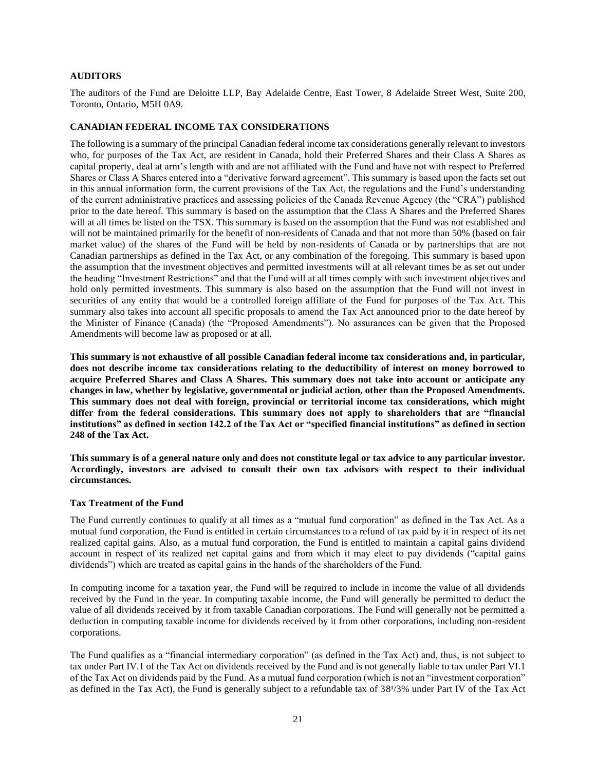#### <span id="page-23-0"></span>**AUDITORS**

The auditors of the Fund are Deloitte LLP, Bay Adelaide Centre, East Tower, 8 Adelaide Street West, Suite 200, Toronto, Ontario, M5H 0A9.

#### <span id="page-23-1"></span>**CANADIAN FEDERAL INCOME TAX CONSIDERATIONS**

The following is a summary of the principal Canadian federal income tax considerations generally relevant to investors who, for purposes of the Tax Act, are resident in Canada, hold their Preferred Shares and their Class A Shares as capital property, deal at arm's length with and are not affiliated with the Fund and have not with respect to Preferred Shares or Class A Shares entered into a "derivative forward agreement". This summary is based upon the facts set out in this annual information form, the current provisions of the Tax Act, the regulations and the Fund's understanding of the current administrative practices and assessing policies of the Canada Revenue Agency (the "CRA") published prior to the date hereof. This summary is based on the assumption that the Class A Shares and the Preferred Shares will at all times be listed on the TSX. This summary is based on the assumption that the Fund was not established and will not be maintained primarily for the benefit of non-residents of Canada and that not more than 50% (based on fair market value) of the shares of the Fund will be held by non-residents of Canada or by partnerships that are not Canadian partnerships as defined in the Tax Act, or any combination of the foregoing. This summary is based upon the assumption that the investment objectives and permitted investments will at all relevant times be as set out under the heading "Investment Restrictions" and that the Fund will at all times comply with such investment objectives and hold only permitted investments. This summary is also based on the assumption that the Fund will not invest in securities of any entity that would be a controlled foreign affiliate of the Fund for purposes of the Tax Act. This summary also takes into account all specific proposals to amend the Tax Act announced prior to the date hereof by the Minister of Finance (Canada) (the "Proposed Amendments"). No assurances can be given that the Proposed Amendments will become law as proposed or at all.

**This summary is not exhaustive of all possible Canadian federal income tax considerations and, in particular, does not describe income tax considerations relating to the deductibility of interest on money borrowed to acquire Preferred Shares and Class A Shares. This summary does not take into account or anticipate any changes in law, whether by legislative, governmental or judicial action, other than the Proposed Amendments. This summary does not deal with foreign, provincial or territorial income tax considerations, which might differ from the federal considerations. This summary does not apply to shareholders that are "financial institutions" as defined in section 142.2 of the Tax Act or "specified financial institutions" as defined in section 248 of the Tax Act.**

**This summary is of a general nature only and does not constitute legal or tax advice to any particular investor. Accordingly, investors are advised to consult their own tax advisors with respect to their individual circumstances.**

#### <span id="page-23-2"></span>**Tax Treatment of the Fund**

The Fund currently continues to qualify at all times as a "mutual fund corporation" as defined in the Tax Act. As a mutual fund corporation, the Fund is entitled in certain circumstances to a refund of tax paid by it in respect of its net realized capital gains. Also, as a mutual fund corporation, the Fund is entitled to maintain a capital gains dividend account in respect of its realized net capital gains and from which it may elect to pay dividends ("capital gains dividends") which are treated as capital gains in the hands of the shareholders of the Fund.

In computing income for a taxation year, the Fund will be required to include in income the value of all dividends received by the Fund in the year. In computing taxable income, the Fund will generally be permitted to deduct the value of all dividends received by it from taxable Canadian corporations. The Fund will generally not be permitted a deduction in computing taxable income for dividends received by it from other corporations, including non-resident corporations.

The Fund qualifies as a "financial intermediary corporation" (as defined in the Tax Act) and, thus, is not subject to tax under Part IV.1 of the Tax Act on dividends received by the Fund and is not generally liable to tax under Part VI.1 of the Tax Act on dividends paid by the Fund. As a mutual fund corporation (which is not an "investment corporation" as defined in the Tax Act), the Fund is generally subject to a refundable tax of 38<sup>1</sup>/3% under Part IV of the Tax Act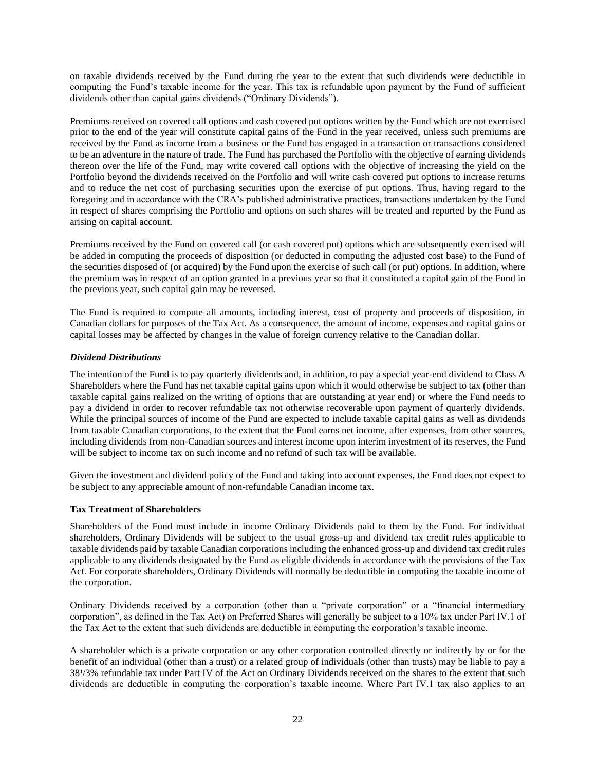on taxable dividends received by the Fund during the year to the extent that such dividends were deductible in computing the Fund's taxable income for the year. This tax is refundable upon payment by the Fund of sufficient dividends other than capital gains dividends ("Ordinary Dividends").

Premiums received on covered call options and cash covered put options written by the Fund which are not exercised prior to the end of the year will constitute capital gains of the Fund in the year received, unless such premiums are received by the Fund as income from a business or the Fund has engaged in a transaction or transactions considered to be an adventure in the nature of trade. The Fund has purchased the Portfolio with the objective of earning dividends thereon over the life of the Fund, may write covered call options with the objective of increasing the yield on the Portfolio beyond the dividends received on the Portfolio and will write cash covered put options to increase returns and to reduce the net cost of purchasing securities upon the exercise of put options. Thus, having regard to the foregoing and in accordance with the CRA's published administrative practices, transactions undertaken by the Fund in respect of shares comprising the Portfolio and options on such shares will be treated and reported by the Fund as arising on capital account.

Premiums received by the Fund on covered call (or cash covered put) options which are subsequently exercised will be added in computing the proceeds of disposition (or deducted in computing the adjusted cost base) to the Fund of the securities disposed of (or acquired) by the Fund upon the exercise of such call (or put) options. In addition, where the premium was in respect of an option granted in a previous year so that it constituted a capital gain of the Fund in the previous year, such capital gain may be reversed.

The Fund is required to compute all amounts, including interest, cost of property and proceeds of disposition, in Canadian dollars for purposes of the Tax Act. As a consequence, the amount of income, expenses and capital gains or capital losses may be affected by changes in the value of foreign currency relative to the Canadian dollar.

### <span id="page-24-0"></span>*Dividend Distributions*

The intention of the Fund is to pay quarterly dividends and, in addition, to pay a special year-end dividend to Class A Shareholders where the Fund has net taxable capital gains upon which it would otherwise be subject to tax (other than taxable capital gains realized on the writing of options that are outstanding at year end) or where the Fund needs to pay a dividend in order to recover refundable tax not otherwise recoverable upon payment of quarterly dividends. While the principal sources of income of the Fund are expected to include taxable capital gains as well as dividends from taxable Canadian corporations, to the extent that the Fund earns net income, after expenses, from other sources, including dividends from non-Canadian sources and interest income upon interim investment of its reserves, the Fund will be subject to income tax on such income and no refund of such tax will be available.

Given the investment and dividend policy of the Fund and taking into account expenses, the Fund does not expect to be subject to any appreciable amount of non-refundable Canadian income tax.

#### <span id="page-24-1"></span>**Tax Treatment of Shareholders**

Shareholders of the Fund must include in income Ordinary Dividends paid to them by the Fund. For individual shareholders, Ordinary Dividends will be subject to the usual gross-up and dividend tax credit rules applicable to taxable dividends paid by taxable Canadian corporations including the enhanced gross-up and dividend tax credit rules applicable to any dividends designated by the Fund as eligible dividends in accordance with the provisions of the Tax Act. For corporate shareholders, Ordinary Dividends will normally be deductible in computing the taxable income of the corporation.

Ordinary Dividends received by a corporation (other than a "private corporation" or a "financial intermediary corporation", as defined in the Tax Act) on Preferred Shares will generally be subject to a 10% tax under Part IV.1 of the Tax Act to the extent that such dividends are deductible in computing the corporation's taxable income.

A shareholder which is a private corporation or any other corporation controlled directly or indirectly by or for the benefit of an individual (other than a trust) or a related group of individuals (other than trusts) may be liable to pay a 38<sup>1</sup>/3% refundable tax under Part IV of the Act on Ordinary Dividends received on the shares to the extent that such dividends are deductible in computing the corporation's taxable income. Where Part IV.1 tax also applies to an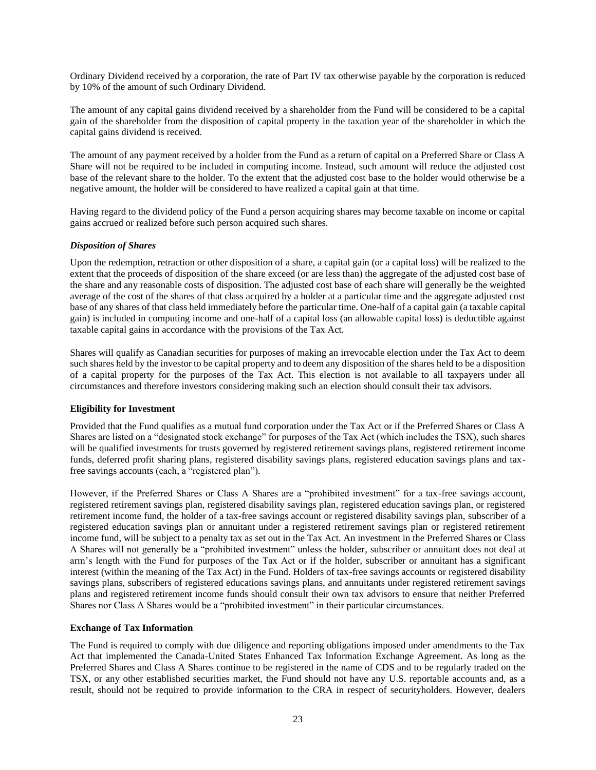Ordinary Dividend received by a corporation, the rate of Part IV tax otherwise payable by the corporation is reduced by 10% of the amount of such Ordinary Dividend.

The amount of any capital gains dividend received by a shareholder from the Fund will be considered to be a capital gain of the shareholder from the disposition of capital property in the taxation year of the shareholder in which the capital gains dividend is received.

The amount of any payment received by a holder from the Fund as a return of capital on a Preferred Share or Class A Share will not be required to be included in computing income. Instead, such amount will reduce the adjusted cost base of the relevant share to the holder. To the extent that the adjusted cost base to the holder would otherwise be a negative amount, the holder will be considered to have realized a capital gain at that time.

Having regard to the dividend policy of the Fund a person acquiring shares may become taxable on income or capital gains accrued or realized before such person acquired such shares.

### <span id="page-25-0"></span>*Disposition of Shares*

Upon the redemption, retraction or other disposition of a share, a capital gain (or a capital loss) will be realized to the extent that the proceeds of disposition of the share exceed (or are less than) the aggregate of the adjusted cost base of the share and any reasonable costs of disposition. The adjusted cost base of each share will generally be the weighted average of the cost of the shares of that class acquired by a holder at a particular time and the aggregate adjusted cost base of any shares of that class held immediately before the particular time. One-half of a capital gain (a taxable capital gain) is included in computing income and one-half of a capital loss (an allowable capital loss) is deductible against taxable capital gains in accordance with the provisions of the Tax Act.

Shares will qualify as Canadian securities for purposes of making an irrevocable election under the Tax Act to deem such shares held by the investor to be capital property and to deem any disposition of the shares held to be a disposition of a capital property for the purposes of the Tax Act. This election is not available to all taxpayers under all circumstances and therefore investors considering making such an election should consult their tax advisors.

#### <span id="page-25-1"></span>**Eligibility for Investment**

Provided that the Fund qualifies as a mutual fund corporation under the Tax Act or if the Preferred Shares or Class A Shares are listed on a "designated stock exchange" for purposes of the Tax Act (which includes the TSX), such shares will be qualified investments for trusts governed by registered retirement savings plans, registered retirement income funds, deferred profit sharing plans, registered disability savings plans, registered education savings plans and taxfree savings accounts (each, a "registered plan").

However, if the Preferred Shares or Class A Shares are a "prohibited investment" for a tax-free savings account, registered retirement savings plan, registered disability savings plan, registered education savings plan, or registered retirement income fund, the holder of a tax-free savings account or registered disability savings plan, subscriber of a registered education savings plan or annuitant under a registered retirement savings plan or registered retirement income fund, will be subject to a penalty tax as set out in the Tax Act. An investment in the Preferred Shares or Class A Shares will not generally be a "prohibited investment" unless the holder, subscriber or annuitant does not deal at arm's length with the Fund for purposes of the Tax Act or if the holder, subscriber or annuitant has a significant interest (within the meaning of the Tax Act) in the Fund. Holders of tax-free savings accounts or registered disability savings plans, subscribers of registered educations savings plans, and annuitants under registered retirement savings plans and registered retirement income funds should consult their own tax advisors to ensure that neither Preferred Shares nor Class A Shares would be a "prohibited investment" in their particular circumstances.

#### <span id="page-25-2"></span>**Exchange of Tax Information**

The Fund is required to comply with due diligence and reporting obligations imposed under amendments to the Tax Act that implemented the Canada-United States Enhanced Tax Information Exchange Agreement. As long as the Preferred Shares and Class A Shares continue to be registered in the name of CDS and to be regularly traded on the TSX, or any other established securities market, the Fund should not have any U.S. reportable accounts and, as a result, should not be required to provide information to the CRA in respect of securityholders. However, dealers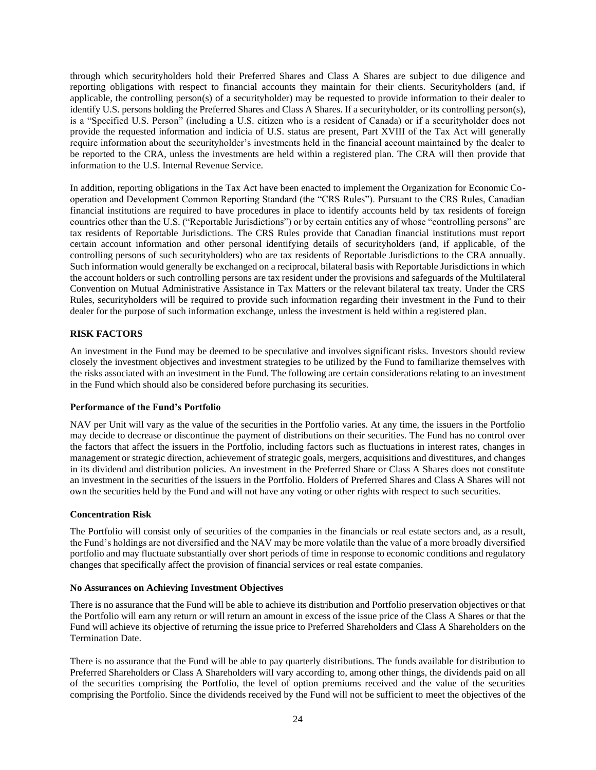through which securityholders hold their Preferred Shares and Class A Shares are subject to due diligence and reporting obligations with respect to financial accounts they maintain for their clients. Securityholders (and, if applicable, the controlling person(s) of a securityholder) may be requested to provide information to their dealer to identify U.S. persons holding the Preferred Shares and Class A Shares. If a securityholder, or its controlling person(s), is a "Specified U.S. Person" (including a U.S. citizen who is a resident of Canada) or if a securityholder does not provide the requested information and indicia of U.S. status are present, Part XVIII of the Tax Act will generally require information about the securityholder's investments held in the financial account maintained by the dealer to be reported to the CRA, unless the investments are held within a registered plan. The CRA will then provide that information to the U.S. Internal Revenue Service.

In addition, reporting obligations in the Tax Act have been enacted to implement the Organization for Economic Cooperation and Development Common Reporting Standard (the "CRS Rules"). Pursuant to the CRS Rules, Canadian financial institutions are required to have procedures in place to identify accounts held by tax residents of foreign countries other than the U.S. ("Reportable Jurisdictions") or by certain entities any of whose "controlling persons" are tax residents of Reportable Jurisdictions. The CRS Rules provide that Canadian financial institutions must report certain account information and other personal identifying details of securityholders (and, if applicable, of the controlling persons of such securityholders) who are tax residents of Reportable Jurisdictions to the CRA annually. Such information would generally be exchanged on a reciprocal, bilateral basis with Reportable Jurisdictions in which the account holders or such controlling persons are tax resident under the provisions and safeguards of the Multilateral Convention on Mutual Administrative Assistance in Tax Matters or the relevant bilateral tax treaty. Under the CRS Rules, securityholders will be required to provide such information regarding their investment in the Fund to their dealer for the purpose of such information exchange, unless the investment is held within a registered plan.

### <span id="page-26-0"></span>**RISK FACTORS**

An investment in the Fund may be deemed to be speculative and involves significant risks. Investors should review closely the investment objectives and investment strategies to be utilized by the Fund to familiarize themselves with the risks associated with an investment in the Fund. The following are certain considerations relating to an investment in the Fund which should also be considered before purchasing its securities.

#### <span id="page-26-1"></span>**Performance of the Fund's Portfolio**

NAV per Unit will vary as the value of the securities in the Portfolio varies. At any time, the issuers in the Portfolio may decide to decrease or discontinue the payment of distributions on their securities. The Fund has no control over the factors that affect the issuers in the Portfolio, including factors such as fluctuations in interest rates, changes in management or strategic direction, achievement of strategic goals, mergers, acquisitions and divestitures, and changes in its dividend and distribution policies. An investment in the Preferred Share or Class A Shares does not constitute an investment in the securities of the issuers in the Portfolio. Holders of Preferred Shares and Class A Shares will not own the securities held by the Fund and will not have any voting or other rights with respect to such securities.

#### <span id="page-26-2"></span>**Concentration Risk**

The Portfolio will consist only of securities of the companies in the financials or real estate sectors and, as a result, the Fund's holdings are not diversified and the NAV may be more volatile than the value of a more broadly diversified portfolio and may fluctuate substantially over short periods of time in response to economic conditions and regulatory changes that specifically affect the provision of financial services or real estate companies.

#### <span id="page-26-3"></span>**No Assurances on Achieving Investment Objectives**

There is no assurance that the Fund will be able to achieve its distribution and Portfolio preservation objectives or that the Portfolio will earn any return or will return an amount in excess of the issue price of the Class A Shares or that the Fund will achieve its objective of returning the issue price to Preferred Shareholders and Class A Shareholders on the Termination Date.

There is no assurance that the Fund will be able to pay quarterly distributions. The funds available for distribution to Preferred Shareholders or Class A Shareholders will vary according to, among other things, the dividends paid on all of the securities comprising the Portfolio, the level of option premiums received and the value of the securities comprising the Portfolio. Since the dividends received by the Fund will not be sufficient to meet the objectives of the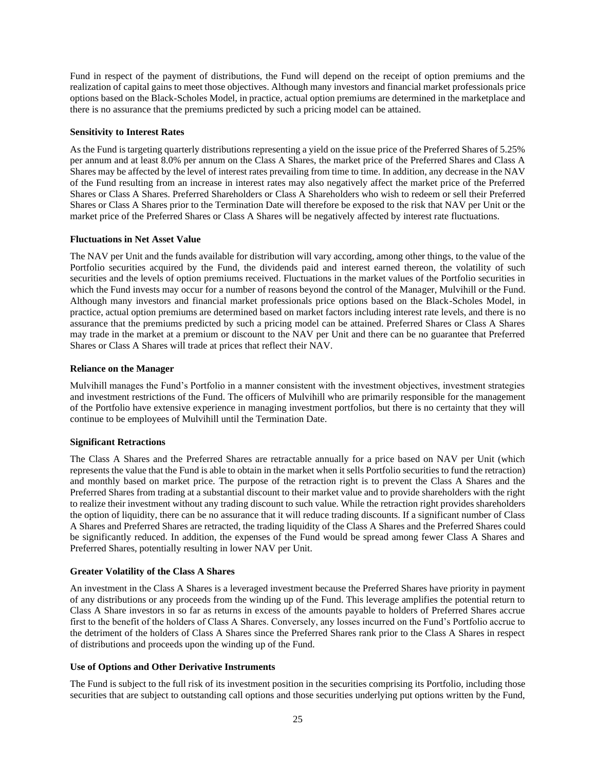Fund in respect of the payment of distributions, the Fund will depend on the receipt of option premiums and the realization of capital gains to meet those objectives. Although many investors and financial market professionals price options based on the Black-Scholes Model, in practice, actual option premiums are determined in the marketplace and there is no assurance that the premiums predicted by such a pricing model can be attained.

#### <span id="page-27-0"></span>**Sensitivity to Interest Rates**

As the Fund is targeting quarterly distributions representing a yield on the issue price of the Preferred Shares of 5.25% per annum and at least 8.0% per annum on the Class A Shares, the market price of the Preferred Shares and Class A Shares may be affected by the level of interest rates prevailing from time to time. In addition, any decrease in the NAV of the Fund resulting from an increase in interest rates may also negatively affect the market price of the Preferred Shares or Class A Shares. Preferred Shareholders or Class A Shareholders who wish to redeem or sell their Preferred Shares or Class A Shares prior to the Termination Date will therefore be exposed to the risk that NAV per Unit or the market price of the Preferred Shares or Class A Shares will be negatively affected by interest rate fluctuations.

### <span id="page-27-1"></span>**Fluctuations in Net Asset Value**

The NAV per Unit and the funds available for distribution will vary according, among other things, to the value of the Portfolio securities acquired by the Fund, the dividends paid and interest earned thereon, the volatility of such securities and the levels of option premiums received. Fluctuations in the market values of the Portfolio securities in which the Fund invests may occur for a number of reasons beyond the control of the Manager, Mulvihill or the Fund. Although many investors and financial market professionals price options based on the Black-Scholes Model, in practice, actual option premiums are determined based on market factors including interest rate levels, and there is no assurance that the premiums predicted by such a pricing model can be attained. Preferred Shares or Class A Shares may trade in the market at a premium or discount to the NAV per Unit and there can be no guarantee that Preferred Shares or Class A Shares will trade at prices that reflect their NAV.

### <span id="page-27-2"></span>**Reliance on the Manager**

Mulvihill manages the Fund's Portfolio in a manner consistent with the investment objectives, investment strategies and investment restrictions of the Fund. The officers of Mulvihill who are primarily responsible for the management of the Portfolio have extensive experience in managing investment portfolios, but there is no certainty that they will continue to be employees of Mulvihill until the Termination Date.

## <span id="page-27-3"></span>**Significant Retractions**

The Class A Shares and the Preferred Shares are retractable annually for a price based on NAV per Unit (which represents the value that the Fund is able to obtain in the market when it sells Portfolio securities to fund the retraction) and monthly based on market price. The purpose of the retraction right is to prevent the Class A Shares and the Preferred Shares from trading at a substantial discount to their market value and to provide shareholders with the right to realize their investment without any trading discount to such value. While the retraction right provides shareholders the option of liquidity, there can be no assurance that it will reduce trading discounts. If a significant number of Class A Shares and Preferred Shares are retracted, the trading liquidity of the Class A Shares and the Preferred Shares could be significantly reduced. In addition, the expenses of the Fund would be spread among fewer Class A Shares and Preferred Shares, potentially resulting in lower NAV per Unit.

#### <span id="page-27-4"></span>**Greater Volatility of the Class A Shares**

An investment in the Class A Shares is a leveraged investment because the Preferred Shares have priority in payment of any distributions or any proceeds from the winding up of the Fund. This leverage amplifies the potential return to Class A Share investors in so far as returns in excess of the amounts payable to holders of Preferred Shares accrue first to the benefit of the holders of Class A Shares. Conversely, any losses incurred on the Fund's Portfolio accrue to the detriment of the holders of Class A Shares since the Preferred Shares rank prior to the Class A Shares in respect of distributions and proceeds upon the winding up of the Fund.

#### <span id="page-27-5"></span>**Use of Options and Other Derivative Instruments**

The Fund is subject to the full risk of its investment position in the securities comprising its Portfolio, including those securities that are subject to outstanding call options and those securities underlying put options written by the Fund,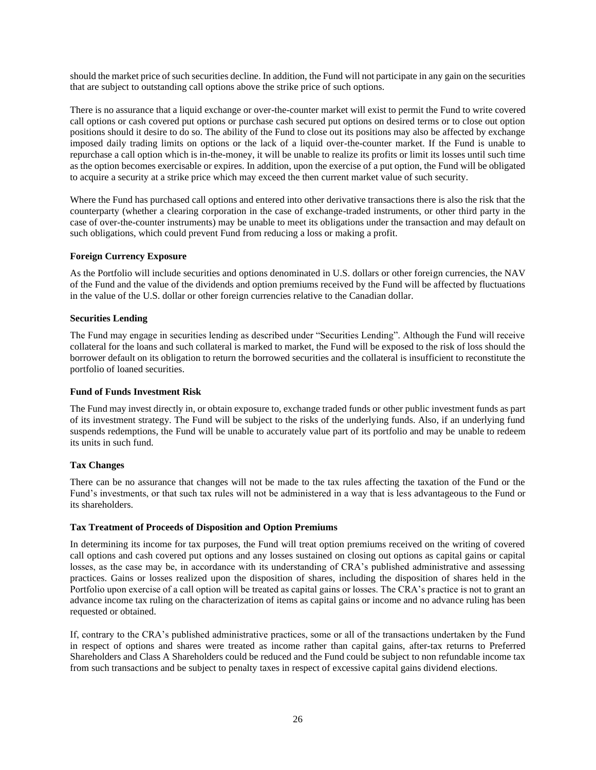should the market price of such securities decline. In addition, the Fund will not participate in any gain on the securities that are subject to outstanding call options above the strike price of such options.

There is no assurance that a liquid exchange or over-the-counter market will exist to permit the Fund to write covered call options or cash covered put options or purchase cash secured put options on desired terms or to close out option positions should it desire to do so. The ability of the Fund to close out its positions may also be affected by exchange imposed daily trading limits on options or the lack of a liquid over-the-counter market. If the Fund is unable to repurchase a call option which is in-the-money, it will be unable to realize its profits or limit its losses until such time as the option becomes exercisable or expires. In addition, upon the exercise of a put option, the Fund will be obligated to acquire a security at a strike price which may exceed the then current market value of such security.

Where the Fund has purchased call options and entered into other derivative transactions there is also the risk that the counterparty (whether a clearing corporation in the case of exchange-traded instruments, or other third party in the case of over-the-counter instruments) may be unable to meet its obligations under the transaction and may default on such obligations, which could prevent Fund from reducing a loss or making a profit.

### <span id="page-28-0"></span>**Foreign Currency Exposure**

As the Portfolio will include securities and options denominated in U.S. dollars or other foreign currencies, the NAV of the Fund and the value of the dividends and option premiums received by the Fund will be affected by fluctuations in the value of the U.S. dollar or other foreign currencies relative to the Canadian dollar.

### <span id="page-28-1"></span>**Securities Lending**

The Fund may engage in securities lending as described under "Securities Lending". Although the Fund will receive collateral for the loans and such collateral is marked to market, the Fund will be exposed to the risk of loss should the borrower default on its obligation to return the borrowed securities and the collateral is insufficient to reconstitute the portfolio of loaned securities.

#### <span id="page-28-2"></span>**Fund of Funds Investment Risk**

The Fund may invest directly in, or obtain exposure to, exchange traded funds or other public investment funds as part of its investment strategy. The Fund will be subject to the risks of the underlying funds. Also, if an underlying fund suspends redemptions, the Fund will be unable to accurately value part of its portfolio and may be unable to redeem its units in such fund.

#### <span id="page-28-3"></span>**Tax Changes**

There can be no assurance that changes will not be made to the tax rules affecting the taxation of the Fund or the Fund's investments, or that such tax rules will not be administered in a way that is less advantageous to the Fund or its shareholders.

#### <span id="page-28-4"></span>**Tax Treatment of Proceeds of Disposition and Option Premiums**

In determining its income for tax purposes, the Fund will treat option premiums received on the writing of covered call options and cash covered put options and any losses sustained on closing out options as capital gains or capital losses, as the case may be, in accordance with its understanding of CRA's published administrative and assessing practices. Gains or losses realized upon the disposition of shares, including the disposition of shares held in the Portfolio upon exercise of a call option will be treated as capital gains or losses. The CRA's practice is not to grant an advance income tax ruling on the characterization of items as capital gains or income and no advance ruling has been requested or obtained.

If, contrary to the CRA's published administrative practices, some or all of the transactions undertaken by the Fund in respect of options and shares were treated as income rather than capital gains, after-tax returns to Preferred Shareholders and Class A Shareholders could be reduced and the Fund could be subject to non refundable income tax from such transactions and be subject to penalty taxes in respect of excessive capital gains dividend elections.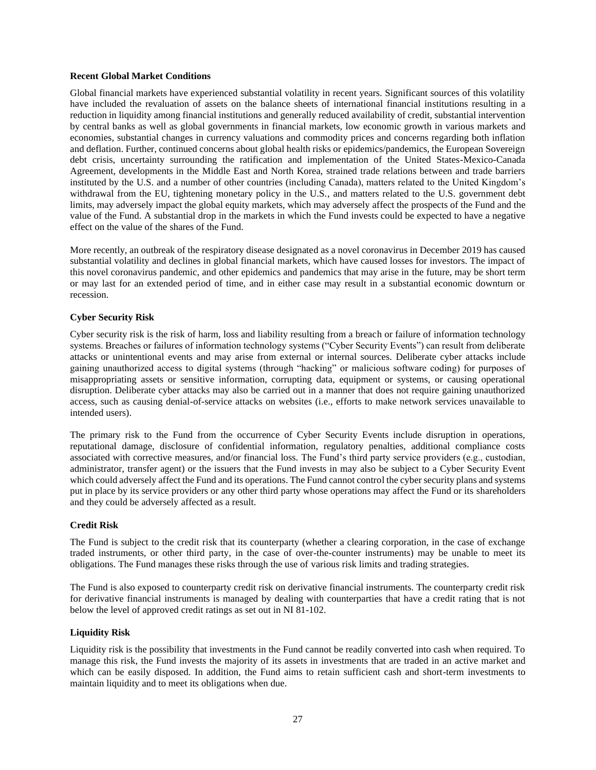#### <span id="page-29-0"></span>**Recent Global Market Conditions**

Global financial markets have experienced substantial volatility in recent years. Significant sources of this volatility have included the revaluation of assets on the balance sheets of international financial institutions resulting in a reduction in liquidity among financial institutions and generally reduced availability of credit, substantial intervention by central banks as well as global governments in financial markets, low economic growth in various markets and economies, substantial changes in currency valuations and commodity prices and concerns regarding both inflation and deflation. Further, continued concerns about global health risks or epidemics/pandemics, the European Sovereign debt crisis, uncertainty surrounding the ratification and implementation of the United States-Mexico-Canada Agreement, developments in the Middle East and North Korea, strained trade relations between and trade barriers instituted by the U.S. and a number of other countries (including Canada), matters related to the United Kingdom's withdrawal from the EU, tightening monetary policy in the U.S., and matters related to the U.S. government debt limits, may adversely impact the global equity markets, which may adversely affect the prospects of the Fund and the value of the Fund. A substantial drop in the markets in which the Fund invests could be expected to have a negative effect on the value of the shares of the Fund.

More recently, an outbreak of the respiratory disease designated as a novel coronavirus in December 2019 has caused substantial volatility and declines in global financial markets, which have caused losses for investors. The impact of this novel coronavirus pandemic, and other epidemics and pandemics that may arise in the future, may be short term or may last for an extended period of time, and in either case may result in a substantial economic downturn or recession.

### <span id="page-29-1"></span>**Cyber Security Risk**

Cyber security risk is the risk of harm, loss and liability resulting from a breach or failure of information technology systems. Breaches or failures of information technology systems ("Cyber Security Events") can result from deliberate attacks or unintentional events and may arise from external or internal sources. Deliberate cyber attacks include gaining unauthorized access to digital systems (through "hacking" or malicious software coding) for purposes of misappropriating assets or sensitive information, corrupting data, equipment or systems, or causing operational disruption. Deliberate cyber attacks may also be carried out in a manner that does not require gaining unauthorized access, such as causing denial-of-service attacks on websites (i.e., efforts to make network services unavailable to intended users).

The primary risk to the Fund from the occurrence of Cyber Security Events include disruption in operations, reputational damage, disclosure of confidential information, regulatory penalties, additional compliance costs associated with corrective measures, and/or financial loss. The Fund's third party service providers (e.g., custodian, administrator, transfer agent) or the issuers that the Fund invests in may also be subject to a Cyber Security Event which could adversely affect the Fund and its operations. The Fund cannot control the cyber security plans and systems put in place by its service providers or any other third party whose operations may affect the Fund or its shareholders and they could be adversely affected as a result.

#### <span id="page-29-2"></span>**Credit Risk**

The Fund is subject to the credit risk that its counterparty (whether a clearing corporation, in the case of exchange traded instruments, or other third party, in the case of over-the-counter instruments) may be unable to meet its obligations. The Fund manages these risks through the use of various risk limits and trading strategies.

The Fund is also exposed to counterparty credit risk on derivative financial instruments. The counterparty credit risk for derivative financial instruments is managed by dealing with counterparties that have a credit rating that is not below the level of approved credit ratings as set out in NI 81-102.

#### <span id="page-29-3"></span>**Liquidity Risk**

Liquidity risk is the possibility that investments in the Fund cannot be readily converted into cash when required. To manage this risk, the Fund invests the majority of its assets in investments that are traded in an active market and which can be easily disposed. In addition, the Fund aims to retain sufficient cash and short-term investments to maintain liquidity and to meet its obligations when due.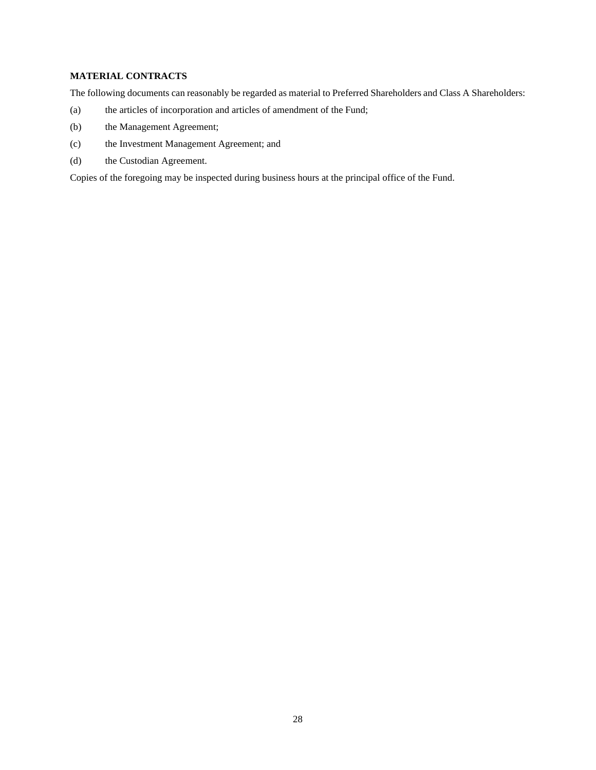## <span id="page-30-0"></span>**MATERIAL CONTRACTS**

The following documents can reasonably be regarded as material to Preferred Shareholders and Class A Shareholders:

- (a) the articles of incorporation and articles of amendment of the Fund;
- (b) the Management Agreement;
- (c) the Investment Management Agreement; and
- (d) the Custodian Agreement.

Copies of the foregoing may be inspected during business hours at the principal office of the Fund.